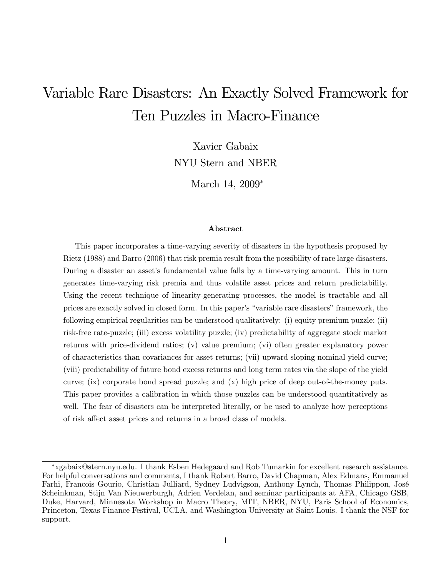# Variable Rare Disasters: An Exactly Solved Framework for Ten Puzzles in Macro-Finance

Xavier Gabaix NYU Stern and NBER

March 14, 2009<sup>∗</sup>

#### Abstract

This paper incorporates a time-varying severity of disasters in the hypothesis proposed by Rietz (1988) and Barro (2006) that risk premia result from the possibility of rare large disasters. During a disaster an asset's fundamental value falls by a time-varying amount. This in turn generates time-varying risk premia and thus volatile asset prices and return predictability. Using the recent technique of linearity-generating processes, the model is tractable and all prices are exactly solved in closed form. In this paper's "variable rare disasters" framework, the following empirical regularities can be understood qualitatively: (i) equity premium puzzle; (ii) risk-free rate-puzzle; (iii) excess volatility puzzle; (iv) predictability of aggregate stock market returns with price-dividend ratios; (v) value premium; (vi) often greater explanatory power of characteristics than covariances for asset returns; (vii) upward sloping nominal yield curve; (viii) predictability of future bond excess returns and long term rates via the slope of the yield curve; (ix) corporate bond spread puzzle; and (x) high price of deep out-of-the-money puts. This paper provides a calibration in which those puzzles can be understood quantitatively as well. The fear of disasters can be interpreted literally, or be used to analyze how perceptions of risk affect asset prices and returns in a broad class of models.

<sup>∗</sup>xgabaix@stern.nyu.edu. I thank Esben Hedegaard and Rob Tumarkin for excellent research assistance. For helpful conversations and comments, I thank Robert Barro, David Chapman, Alex Edmans, Emmanuel Farhi, Francois Gourio, Christian Julliard, Sydney Ludvigson, Anthony Lynch, Thomas Philippon, José Scheinkman, Stijn Van Nieuwerburgh, Adrien Verdelan, and seminar participants at AFA, Chicago GSB, Duke, Harvard, Minnesota Workshop in Macro Theory, MIT, NBER, NYU, Paris School of Economics, Princeton, Texas Finance Festival, UCLA, and Washington University at Saint Louis. I thank the NSF for support.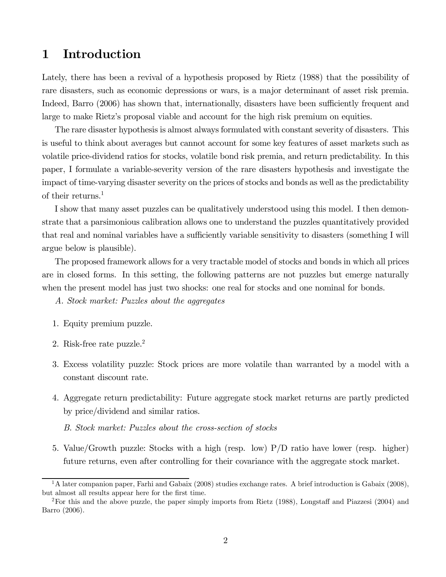## 1 Introduction

Lately, there has been a revival of a hypothesis proposed by Rietz (1988) that the possibility of rare disasters, such as economic depressions or wars, is a major determinant of asset risk premia. Indeed, Barro (2006) has shown that, internationally, disasters have been sufficiently frequent and large to make Rietz's proposal viable and account for the high risk premium on equities.

The rare disaster hypothesis is almost always formulated with constant severity of disasters. This is useful to think about averages but cannot account for some key features of asset markets such as volatile price-dividend ratios for stocks, volatile bond risk premia, and return predictability. In this paper, I formulate a variable-severity version of the rare disasters hypothesis and investigate the impact of time-varying disaster severity on the prices of stocks and bonds as well as the predictability of their returns.<sup>1</sup>

I show that many asset puzzles can be qualitatively understood using this model. I then demonstrate that a parsimonious calibration allows one to understand the puzzles quantitatively provided that real and nominal variables have a sufficiently variable sensitivity to disasters (something I will argue below is plausible).

The proposed framework allows for a very tractable model of stocks and bonds in which all prices are in closed forms. In this setting, the following patterns are not puzzles but emerge naturally when the present model has just two shocks: one real for stocks and one nominal for bonds.

A. Stock market: Puzzles about the aggregates

- 1. Equity premium puzzle.
- 2. Risk-free rate puzzle.2
- 3. Excess volatility puzzle: Stock prices are more volatile than warranted by a model with a constant discount rate.
- 4. Aggregate return predictability: Future aggregate stock market returns are partly predicted by price/dividend and similar ratios.
	- B. Stock market: Puzzles about the cross-section of stocks
- 5. Value/Growth puzzle: Stocks with a high (resp. low) P/D ratio have lower (resp. higher) future returns, even after controlling for their covariance with the aggregate stock market.

 $1A$  later companion paper, Farhi and Gabaix (2008) studies exchange rates. A brief introduction is Gabaix (2008), but almost all results appear here for the first time.

<sup>2</sup>For this and the above puzzle, the paper simply imports from Rietz (1988), Longstaff and Piazzesi (2004) and Barro (2006).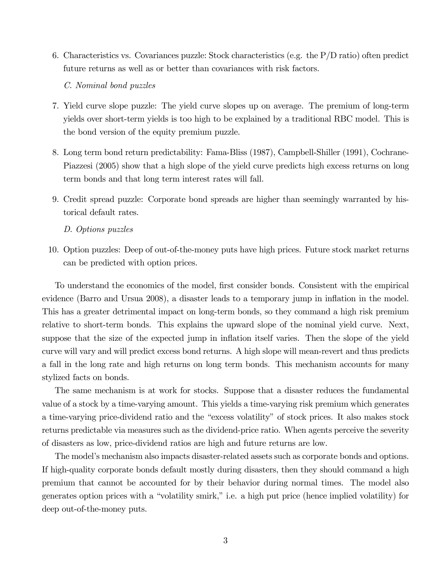6. Characteristics vs. Covariances puzzle: Stock characteristics (e.g. the P/D ratio) often predict future returns as well as or better than covariances with risk factors.

C. Nominal bond puzzles

- 7. Yield curve slope puzzle: The yield curve slopes up on average. The premium of long-term yields over short-term yields is too high to be explained by a traditional RBC model. This is the bond version of the equity premium puzzle.
- 8. Long term bond return predictability: Fama-Bliss (1987), Campbell-Shiller (1991), Cochrane-Piazzesi (2005) show that a high slope of the yield curve predicts high excess returns on long term bonds and that long term interest rates will fall.
- 9. Credit spread puzzle: Corporate bond spreads are higher than seemingly warranted by historical default rates.

#### D. Options puzzles

10. Option puzzles: Deep of out-of-the-money puts have high prices. Future stock market returns can be predicted with option prices.

To understand the economics of the model, first consider bonds. Consistent with the empirical evidence (Barro and Ursua 2008), a disaster leads to a temporary jump in inflation in the model. This has a greater detrimental impact on long-term bonds, so they command a high risk premium relative to short-term bonds. This explains the upward slope of the nominal yield curve. Next, suppose that the size of the expected jump in inflation itself varies. Then the slope of the yield curve will vary and will predict excess bond returns. A high slope will mean-revert and thus predicts a fall in the long rate and high returns on long term bonds. This mechanism accounts for many stylized facts on bonds.

The same mechanism is at work for stocks. Suppose that a disaster reduces the fundamental value of a stock by a time-varying amount. This yields a time-varying risk premium which generates a time-varying price-dividend ratio and the "excess volatility" of stock prices. It also makes stock returns predictable via measures such as the dividend-price ratio. When agents perceive the severity of disasters as low, price-dividend ratios are high and future returns are low.

The model's mechanism also impacts disaster-related assets such as corporate bonds and options. If high-quality corporate bonds default mostly during disasters, then they should command a high premium that cannot be accounted for by their behavior during normal times. The model also generates option prices with a "volatility smirk," i.e. a high put price (hence implied volatility) for deep out-of-the-money puts.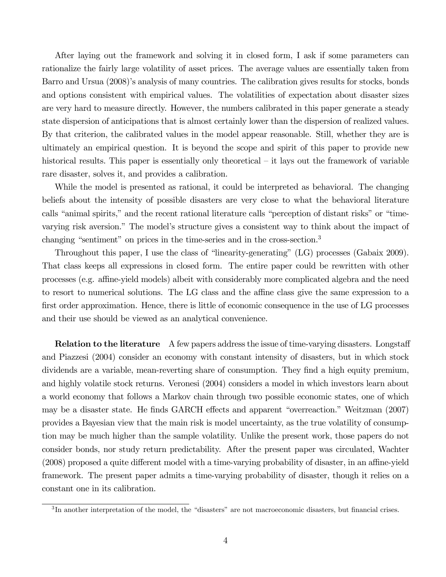After laying out the framework and solving it in closed form, I ask if some parameters can rationalize the fairly large volatility of asset prices. The average values are essentially taken from Barro and Ursua (2008)'s analysis of many countries. The calibration gives results for stocks, bonds and options consistent with empirical values. The volatilities of expectation about disaster sizes are very hard to measure directly. However, the numbers calibrated in this paper generate a steady state dispersion of anticipations that is almost certainly lower than the dispersion of realized values. By that criterion, the calibrated values in the model appear reasonable. Still, whether they are is ultimately an empirical question. It is beyond the scope and spirit of this paper to provide new historical results. This paper is essentially only theoretical – it lays out the framework of variable rare disaster, solves it, and provides a calibration.

While the model is presented as rational, it could be interpreted as behavioral. The changing beliefs about the intensity of possible disasters are very close to what the behavioral literature calls "animal spirits," and the recent rational literature calls "perception of distant risks" or "timevarying risk aversion." The model's structure gives a consistent way to think about the impact of changing "sentiment" on prices in the time-series and in the cross-section.<sup>3</sup>

Throughout this paper, I use the class of "linearity-generating" (LG) processes (Gabaix 2009). That class keeps all expressions in closed form. The entire paper could be rewritten with other processes (e.g. affine-yield models) albeit with considerably more complicated algebra and the need to resort to numerical solutions. The LG class and the affine class give the same expression to a first order approximation. Hence, there is little of economic consequence in the use of LG processes and their use should be viewed as an analytical convenience.

**Relation to the literature** A few papers address the issue of time-varying disasters. Longstaff and Piazzesi (2004) consider an economy with constant intensity of disasters, but in which stock dividends are a variable, mean-reverting share of consumption. They find a high equity premium, and highly volatile stock returns. Veronesi (2004) considers a model in which investors learn about a world economy that follows a Markov chain through two possible economic states, one of which may be a disaster state. He finds GARCH effects and apparent "overreaction." Weitzman (2007) provides a Bayesian view that the main risk is model uncertainty, as the true volatility of consumption may be much higher than the sample volatility. Unlike the present work, those papers do not consider bonds, nor study return predictability. After the present paper was circulated, Wachter (2008) proposed a quite different model with a time-varying probability of disaster, in an affine-yield framework. The present paper admits a time-varying probability of disaster, though it relies on a constant one in its calibration.

<sup>3</sup> In another interpretation of the model, the "disasters" are not macroeconomic disasters, but financial crises.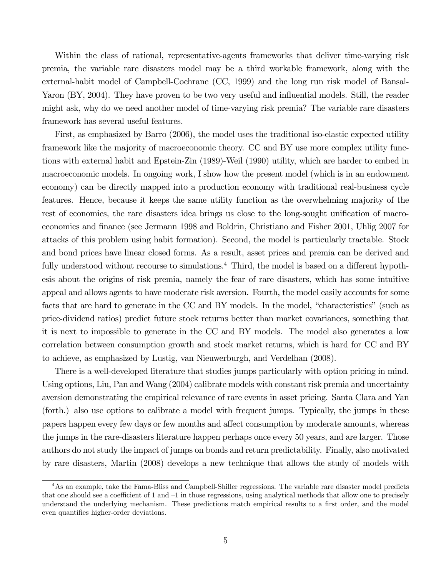Within the class of rational, representative-agents frameworks that deliver time-varying risk premia, the variable rare disasters model may be a third workable framework, along with the external-habit model of Campbell-Cochrane (CC, 1999) and the long run risk model of Bansal-Yaron (BY, 2004). They have proven to be two very useful and influential models. Still, the reader might ask, why do we need another model of time-varying risk premia? The variable rare disasters framework has several useful features.

First, as emphasized by Barro (2006), the model uses the traditional iso-elastic expected utility framework like the majority of macroeconomic theory. CC and BY use more complex utility functions with external habit and Epstein-Zin (1989)-Weil (1990) utility, which are harder to embed in macroeconomic models. In ongoing work, I show how the present model (which is in an endowment economy) can be directly mapped into a production economy with traditional real-business cycle features. Hence, because it keeps the same utility function as the overwhelming majority of the rest of economics, the rare disasters idea brings us close to the long-sought unification of macroeconomics and finance (see Jermann 1998 and Boldrin, Christiano and Fisher 2001, Uhlig 2007 for attacks of this problem using habit formation). Second, the model is particularly tractable. Stock and bond prices have linear closed forms. As a result, asset prices and premia can be derived and fully understood without recourse to simulations.<sup>4</sup> Third, the model is based on a different hypothesis about the origins of risk premia, namely the fear of rare disasters, which has some intuitive appeal and allows agents to have moderate risk aversion. Fourth, the model easily accounts for some facts that are hard to generate in the CC and BY models. In the model, "characteristics" (such as price-dividend ratios) predict future stock returns better than market covariances, something that it is next to impossible to generate in the CC and BY models. The model also generates a low correlation between consumption growth and stock market returns, which is hard for CC and BY to achieve, as emphasized by Lustig, van Nieuwerburgh, and Verdelhan (2008).

There is a well-developed literature that studies jumps particularly with option pricing in mind. Using options, Liu, Pan and Wang (2004) calibrate models with constant risk premia and uncertainty aversion demonstrating the empirical relevance of rare events in asset pricing. Santa Clara and Yan (forth.) also use options to calibrate a model with frequent jumps. Typically, the jumps in these papers happen every few days or few months and affect consumption by moderate amounts, whereas the jumps in the rare-disasters literature happen perhaps once every 50 years, and are larger. Those authors do not study the impact of jumps on bonds and return predictability. Finally, also motivated by rare disasters, Martin (2008) develops a new technique that allows the study of models with

<sup>&</sup>lt;sup>4</sup>As an example, take the Fama-Bliss and Campbell-Shiller regressions. The variable rare disaster model predicts that one should see a coefficient of 1 and  $-1$  in those regressions, using analytical methods that allow one to precisely understand the underlying mechanism. These predictions match empirical results to a first order, and the model even quantifies higher-order deviations.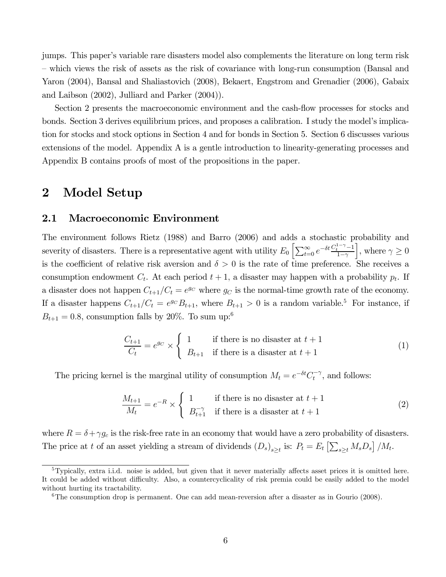jumps. This paper's variable rare disasters model also complements the literature on long term risk — which views the risk of assets as the risk of covariance with long-run consumption (Bansal and Yaron (2004), Bansal and Shaliastovich (2008), Bekaert, Engstrom and Grenadier (2006), Gabaix and Laibson (2002), Julliard and Parker (2004)).

Section 2 presents the macroeconomic environment and the cash-flow processes for stocks and bonds. Section 3 derives equilibrium prices, and proposes a calibration. I study the model's implication for stocks and stock options in Section 4 and for bonds in Section 5. Section 6 discusses various extensions of the model. Appendix A is a gentle introduction to linearity-generating processes and Appendix B contains proofs of most of the propositions in the paper.

### 2 Model Setup

#### 2.1 Macroeconomic Environment

The environment follows Rietz (1988) and Barro (2006) and adds a stochastic probability and severity of disasters. There is a representative agent with utility  $E_0 \left[ \sum_{t=0}^{\infty} e^{-\delta t} \frac{C_t^{1-\gamma} - 1}{1-\gamma} \right]$  $1-\gamma$  $\Big\},\, \text{where } \gamma \geq 0$ is the coefficient of relative risk aversion and  $\delta > 0$  is the rate of time preference. She receives a consumption endowment  $C_t$ . At each period  $t + 1$ , a disaster may happen with a probability  $p_t$ . If a disaster does not happen  $C_{t+1}/C_t = e^{g_C}$  where  $g_C$  is the normal-time growth rate of the economy. If a disaster happens  $C_{t+1}/C_t = e^{g_C}B_{t+1}$ , where  $B_{t+1} > 0$  is a random variable.<sup>5</sup> For instance, if  $B_{t+1} = 0.8$ , consumption falls by 20%. To sum up:<sup>6</sup>

$$
\frac{C_{t+1}}{C_t} = e^{g_C} \times \begin{cases} 1 & \text{if there is no disaster at } t+1 \\ B_{t+1} & \text{if there is a disaster at } t+1 \end{cases}
$$
 (1)

The pricing kernel is the marginal utility of consumption  $M_t = e^{-\delta t} C_t^{-\gamma}$ , and follows:

$$
\frac{M_{t+1}}{M_t} = e^{-R} \times \begin{cases} 1 & \text{if there is no disaster at } t+1\\ B_{t+1}^{-\gamma} & \text{if there is a disaster at } t+1 \end{cases} \tag{2}
$$

where  $R = \delta + \gamma g_c$  is the risk-free rate in an economy that would have a zero probability of disasters. The price at t of an asset yielding a stream of dividends  $(D_s)_{s\geq t}$  is:  $P_t = E_t \left[ \sum_{s\geq t} M_s D_s \right] / M_t$ .

<sup>5</sup>Typically, extra i.i.d. noise is added, but given that it never materially affects asset prices it is omitted here. It could be added without difficulty. Also, a countercyclicality of risk premia could be easily added to the model without hurting its tractability.

 ${}^{6}$ The consumption drop is permanent. One can add mean-reversion after a disaster as in Gourio (2008).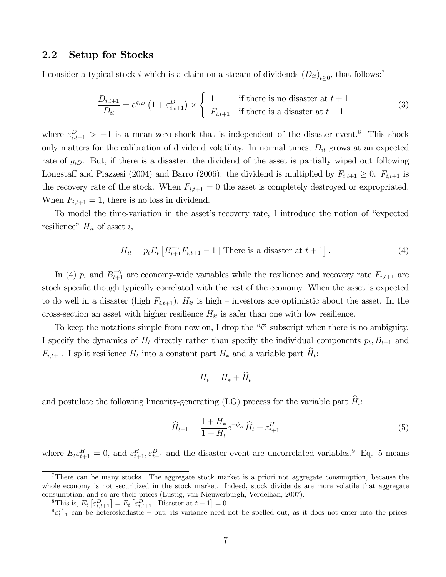#### 2.2 Setup for Stocks

I consider a typical stock i which is a claim on a stream of dividends  $(D_{it})_{t>0}$ , that follows:<sup>7</sup>

$$
\frac{D_{i,t+1}}{D_{it}} = e^{g_{iD}} \left( 1 + \varepsilon_{i,t+1}^D \right) \times \begin{cases} 1 & \text{if there is no disaster at } t+1 \\ F_{i,t+1} & \text{if there is a disaster at } t+1 \end{cases}
$$
 (3)

where  $\varepsilon_{i,t+1}^D > -1$  is a mean zero shock that is independent of the disaster event.<sup>8</sup> This shock only matters for the calibration of dividend volatility. In normal times,  $D_{it}$  grows at an expected rate of  $g_{iD}$ . But, if there is a disaster, the dividend of the asset is partially wiped out following Longstaff and Piazzesi (2004) and Barro (2006): the dividend is multiplied by  $F_{i,t+1} \geq 0$ .  $F_{i,t+1}$  is the recovery rate of the stock. When  $F_{i,t+1} = 0$  the asset is completely destroyed or expropriated. When  $F_{i,t+1} = 1$ , there is no loss in dividend.

To model the time-variation in the asset's recovery rate, I introduce the notion of "expected resilience"  $H_{it}$  of asset i,

$$
H_{it} = p_t E_t \left[ B_{t+1}^{-\gamma} F_{i,t+1} - 1 \mid \text{There is a disaster at } t+1 \right]. \tag{4}
$$

In (4)  $p_t$  and  $B_{t+1}^{-\gamma}$  are economy-wide variables while the resilience and recovery rate  $F_{i,t+1}$  are stock specific though typically correlated with the rest of the economy. When the asset is expected to do well in a disaster (high  $F_{i,t+1}$ ),  $H_{it}$  is high – investors are optimistic about the asset. In the cross-section an asset with higher resilience  $H_{it}$  is safer than one with low resilience.

To keep the notations simple from now on, I drop the "i" subscript when there is no ambiguity. I specify the dynamics of  $H_t$  directly rather than specify the individual components  $p_t, B_{t+1}$  and  $F_{i,t+1}$ . I split resilience  $H_t$  into a constant part  $H_*$  and a variable part  $H_t$ :

$$
H_t = H_* + \dot{H}_t
$$

and postulate the following linearity-generating (LG) process for the variable part  $\hat{H}_t$ :

$$
\widehat{H}_{t+1} = \frac{1 + H_*}{1 + H_t} e^{-\phi_H} \widehat{H}_t + \varepsilon_{t+1}^H
$$
\n(5)

where  $E_t \varepsilon_{t+1}^H = 0$ , and  $\varepsilon_{t+1}^H$ ,  $\varepsilon_{t+1}^D$  and the disaster event are uncorrelated variables.<sup>9</sup> Eq. 5 means

<sup>&</sup>lt;sup>7</sup>There can be many stocks. The aggregate stock market is a priori not aggregate consumption, because the whole economy is not securitized in the stock market. Indeed, stock dividends are more volatile that aggregate consumption, and so are their prices (Lustig, van Nieuwerburgh, Verdelhan, 2007).

<sup>&</sup>lt;sup>8</sup>This is,  $E_t\left[\varepsilon_{i,t+1}^D\right] = E_t\left[\varepsilon_{i,t+1}^D \mid \text{Dissaster at } t+1\right] = 0.$ 

 ${}^{9} \varepsilon_{t+1}^{H}$  can be heteroskedastic – but, its variance need not be spelled out, as it does not enter into the prices.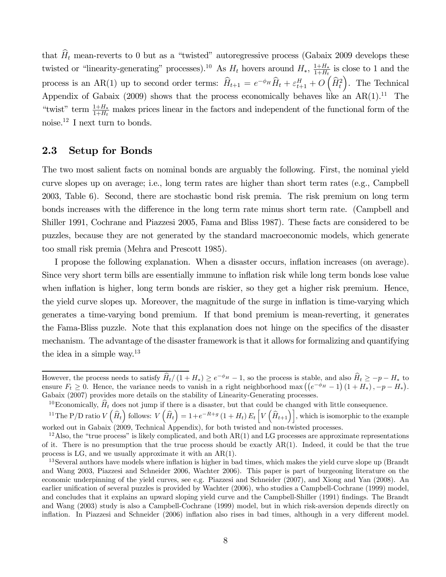that  $\hat{H}_t$  mean-reverts to 0 but as a "twisted" autoregressive process (Gabaix 2009 develops these twisted or "linearity-generating" processes).<sup>10</sup> As  $H_t$  hovers around  $H_*$ ,  $\frac{1+H_*}{1+H_t}$  is close to 1 and the process is an AR(1) up to second order terms:  $\widehat{H}_{t+1} = e^{-\phi_H} \widehat{H}_t + \varepsilon_{t+1}^H + O\left(\widehat{H}_t^2\right)$ ). The Technical Appendix of Gabaix (2009) shows that the process economically behaves like an  $AR(1).<sup>11</sup>$  The "twist" term  $\frac{1+H_*}{1+H_t}$  makes prices linear in the factors and independent of the functional form of the noise.12 I next turn to bonds.

### 2.3 Setup for Bonds

The two most salient facts on nominal bonds are arguably the following. First, the nominal yield curve slopes up on average; i.e., long term rates are higher than short term rates (e.g., Campbell 2003, Table 6). Second, there are stochastic bond risk premia. The risk premium on long term bonds increases with the difference in the long term rate minus short term rate. (Campbell and Shiller 1991, Cochrane and Piazzesi 2005, Fama and Bliss 1987). These facts are considered to be puzzles, because they are not generated by the standard macroeconomic models, which generate too small risk premia (Mehra and Prescott 1985).

I propose the following explanation. When a disaster occurs, inflation increases (on average). Since very short term bills are essentially immune to inflation risk while long term bonds lose value when inflation is higher, long term bonds are riskier, so they get a higher risk premium. Hence, the yield curve slopes up. Moreover, the magnitude of the surge in inflation is time-varying which generates a time-varying bond premium. If that bond premium is mean-reverting, it generates the Fama-Bliss puzzle. Note that this explanation does not hinge on the specifics of the disaster mechanism. The advantage of the disaster framework is that it allows for formalizing and quantifying the idea in a simple way.13

<sup>10</sup>Economically,  $\hat{H}_t$  does not jump if there is a disaster, but that could be changed with little consequence.

<sup>11</sup>The P/D ratio  $V(\widehat{H}_{t})$  follows:  $V(\widehat{H}_{t}) = 1+e^{-R+g} (1+H_{t}) E_{t} \left[ V(\widehat{H}_{t+1}) \right]$ , which is isomorphic to the example worked out in Gabaix (2009, Technical Appendix), for both twisted and non-twisted processes.

However, the process needs to satisfy  $\widehat{H}_t/(1 + H_*) \ge e^{-\phi_H} - 1$ , so the process is stable, and also  $\widehat{H}_t \ge -p - H_*$  to ensure  $F_t \geq 0$ . Hence, the variance needs to vanish in a right neighborhood max  $((e^{-\phi_H}-1)(1+H_*)$ , -p -  $H_*)$ . Gabaix (2007) provides more details on the stability of Linearity-Generating processes.

<sup>&</sup>lt;sup>12</sup>Also, the "true process" is likely complicated, and both  $AR(1)$  and LG processes are approximate representations of it. There is no presumption that the true process should be exactly  $AR(1)$ . Indeed, it could be that the true process is LG, and we usually approximate it with an AR(1).

<sup>&</sup>lt;sup>13</sup>Several authors have models where inflation is higher in bad times, which makes the yield curve slope up (Brandt and Wang 2003, Piazzesi and Schneider 2006, Wachter 2006). This paper is part of burgeoning literature on the economic underpinning of the yield curves, see e.g. Piazzesi and Schneider (2007), and Xiong and Yan (2008). An earlier unification of several puzzles is provided by Wachter (2006), who studies a Campbell-Cochrane (1999) model, and concludes that it explains an upward sloping yield curve and the Campbell-Shiller (1991) findings. The Brandt and Wang (2003) study is also a Campbell-Cochrane (1999) model, but in which risk-aversion depends directly on inflation. In Piazzesi and Schneider (2006) inflation also rises in bad times, although in a very different model.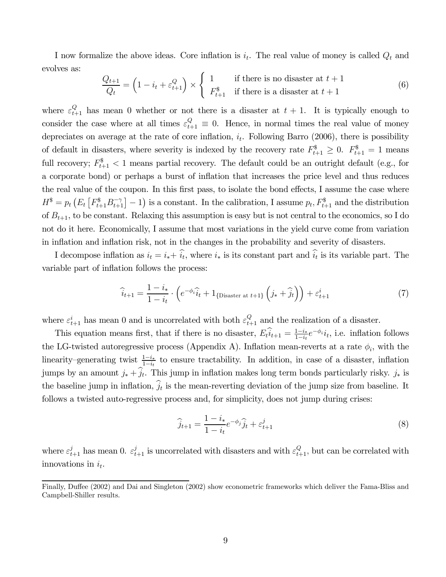I now formalize the above ideas. Core inflation is  $i_t$ . The real value of money is called  $Q_t$  and evolves as:

$$
\frac{Q_{t+1}}{Q_t} = \left(1 - i_t + \varepsilon_{t+1}^Q\right) \times \begin{cases} 1 & \text{if there is no disaster at } t+1\\ F_{t+1}^{\$} & \text{if there is a disaster at } t+1 \end{cases} \tag{6}
$$

where  $\varepsilon_{t+1}^Q$  has mean 0 whether or not there is a disaster at  $t + 1$ . It is typically enough to consider the case where at all times  $\varepsilon_{t+1}^Q \equiv 0$ . Hence, in normal times the real value of money depreciates on average at the rate of core inflation,  $i_t$ . Following Barro (2006), there is possibility of default in disasters, where severity is indexed by the recovery rate  $F_{t+1}^{\$} \geq 0$ .  $F_{t+1}^{\$} = 1$  means full recovery;  $F_{t+1}^{\$} < 1$  means partial recovery. The default could be an outright default (e.g., for a corporate bond) or perhaps a burst of inflation that increases the price level and thus reduces the real value of the coupon. In this first pass, to isolate the bond effects, I assume the case where  $H^{\$} = p_t \left( E_t \left[ F_{t+1}^{\$} B_{t+1}^{-\gamma} \right] - 1 \right)$  is a constant. In the calibration, I assume  $p_t, F_{t+1}^{\$}$  and the distribution of  $B_{t+1}$ , to be constant. Relaxing this assumption is easy but is not central to the economics, so I do not do it here. Economically, I assume that most variations in the yield curve come from variation in inflation and inflation risk, not in the changes in the probability and severity of disasters.

I decompose inflation as  $i_t = i_* + i_t$ , where  $i_*$  is its constant part and  $i_t$  is its variable part. The variable part of inflation follows the process:

$$
\widehat{i}_{t+1} = \frac{1 - i_*}{1 - i_t} \cdot \left( e^{-\phi_i} \widehat{i}_t + 1_{\{\text{Disaster at } t+1\}} \left( j_* + \widehat{j}_t \right) \right) + \varepsilon_{t+1}^i \tag{7}
$$

where  $\varepsilon_{t+1}^i$  has mean 0 and is uncorrelated with both  $\varepsilon_{t+1}^Q$  and the realization of a disaster.

This equation means first, that if there is no disaster,  $\widehat{E_t u_{t+1}} = \frac{1-i}{1-i} e^{-\phi_i} i_t$ , i.e. inflation follows the LG-twisted autoregressive process (Appendix A). Inflation mean-reverts at a rate  $\phi_i$ , with the linearity–generating twist  $\frac{1-i_*}{1-i_*}$  to ensure tractability. In addition, in case of a disaster, inflation jumps by an amount  $j_* + \hat{j}_t$ . This jump in inflation makes long term bonds particularly risky.  $j_*$  is the baseline jump in inflation,  $\hat{j}_t$  is the mean-reverting deviation of the jump size from baseline. It follows a twisted auto-regressive process and, for simplicity, does not jump during crises:

$$
\widehat{j}_{t+1} = \frac{1 - i_*}{1 - i_t} e^{-\phi_j} \widehat{j}_t + \varepsilon_{t+1}^j \tag{8}
$$

where  $\varepsilon_{t+1}^j$  has mean 0.  $\varepsilon_{t+1}^j$  is uncorrelated with disasters and with  $\varepsilon_{t+1}^Q$ , but can be correlated with innovations in  $i_t$ .

Finally, Duffee (2002) and Dai and Singleton (2002) show econometric frameworks which deliver the Fama-Bliss and Campbell-Shiller results.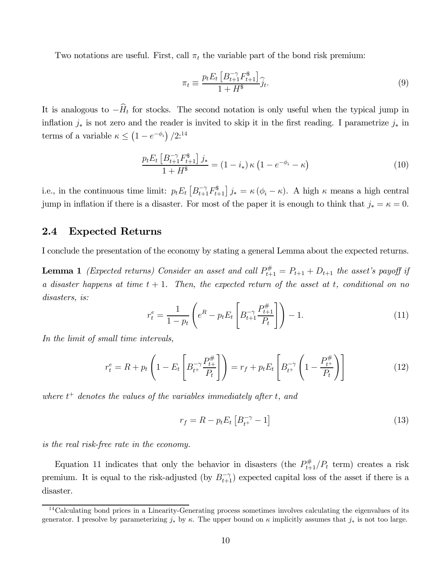Two notations are useful. First, call  $\pi_t$  the variable part of the bond risk premium:

$$
\pi_t \equiv \frac{p_t E_t \left[ B_{t+1}^{-\gamma} F_{t+1}^{\$} \right]}{1 + H^{\$}} \hat{j}_t. \tag{9}
$$

It is analogous to  $-\widehat{H}_t$  for stocks. The second notation is only useful when the typical jump in inflation  $j_*$  is not zero and the reader is invited to skip it in the first reading. I parametrize  $j_*$  in terms of a variable  $\kappa \leq (1 - e^{-\phi_i})/2$ :<sup>14</sup>

$$
\frac{p_t E_t \left[ B_{t+1}^{-\gamma} F_{t+1}^{\$} \right] j_*}{1 + H^{\$}} = (1 - i_*) \kappa \left( 1 - e^{-\phi_i} - \kappa \right)
$$
\n(10)

i.e., in the continuous time limit:  $p_t E_t \left[ B_{t+1}^{-\gamma} F_{t+1}^{\$} \right] j_* = \kappa (\phi_i - \kappa)$ . A high  $\kappa$  means a high central jump in inflation if there is a disaster. For most of the paper it is enough to think that  $j_* = \kappa = 0$ .

### 2.4 Expected Returns

I conclude the presentation of the economy by stating a general Lemma about the expected returns.

**Lemma 1** (Expected returns) Consider an asset and call  $P_{t+1}^{\#} = P_{t+1} + D_{t+1}$  the asset's payoff if a disaster happens at time  $t + 1$ . Then, the expected return of the asset at t, conditional on no disasters, is:

$$
r_t^e = \frac{1}{1 - p_t} \left( e^R - p_t E_t \left[ B_{t+1}^{-\gamma} \frac{P_{t+1}^{\#}}{P_t} \right] \right) - 1.
$$
 (11)

In the limit of small time intervals,

$$
r_t^e = R + p_t \left( 1 - E_t \left[ B_{t+}^{-\gamma} \frac{P_{t+}^{\#}}{P_t} \right] \right) = r_f + p_t E_t \left[ B_{t+}^{-\gamma} \left( 1 - \frac{P_{t+}^{\#}}{P_t} \right) \right]
$$
(12)

where  $t^+$  denotes the values of the variables immediately after t, and

$$
r_f = R - p_t E_t \left[ B_{t^+}^{-\gamma} - 1 \right] \tag{13}
$$

is the real risk-free rate in the economy.

Equation 11 indicates that only the behavior in disasters (the  $P_{t+1}^{\#}/P_t$  term) creates a risk premium. It is equal to the risk-adjusted (by  $B_{t+1}^{-\gamma}$ ) expected capital loss of the asset if there is a disaster.

 $14$ Calculating bond prices in a Linearity-Generating process sometimes involves calculating the eigenvalues of its generator. I presolve by parameterizing  $j_*$  by  $\kappa$ . The upper bound on  $\kappa$  implicitly assumes that  $j_*$  is not too large.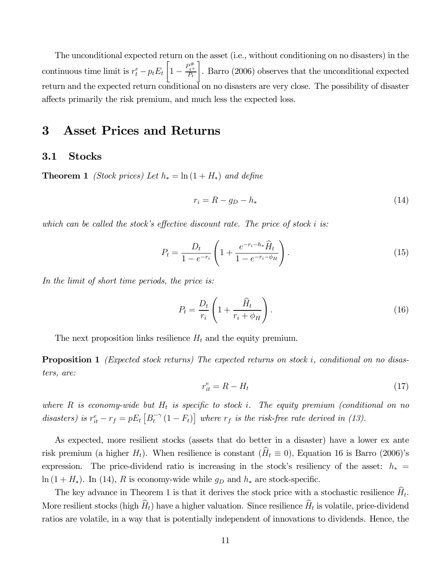The unconditional expected return on the asset (i.e., without conditioning on no disasters) in the continuous time limit is  $r_t^e - p_t E_t$  $\left[1-\frac{P_{t^+}^{\#}}{P_t}\right]$ ¸ . Barro (2006) observes that the unconditional expected return and the expected return conditional on no disasters are very close. The possibility of disaster affects primarily the risk premium, and much less the expected loss.

## 3 Asset Prices and Returns

#### 3.1 Stocks

**Theorem 1** (Stock prices) Let  $h_* = \ln(1 + H_*)$  and define

$$
r_i = R - g_D - h_* \tag{14}
$$

which can be called the stock's effective discount rate. The price of stock  $i$  is:

$$
P_t = \frac{D_t}{1 - e^{-r_i}} \left( 1 + \frac{e^{-r_i - h_*}\widehat{H}_t}{1 - e^{-r_i - \phi_H}} \right).
$$
 (15)

In the limit of short time periods, the price is:

$$
P_t = \frac{D_t}{r_i} \left( 1 + \frac{\widehat{H}_t}{r_i + \phi_H} \right). \tag{16}
$$

The next proposition links resilience  $H_t$  and the equity premium.

**Proposition 1** (Expected stock returns) The expected returns on stock *i*, conditional on no disasters, are:

$$
r_{it}^e = R - H_t \tag{17}
$$

where R is economy-wide but  $H_t$  is specific to stock i. The equity premium (conditional on no disasters) is  $r_{it}^e - r_f = pE_t \left[ B_t^{-\gamma} (1 - F_t) \right]$  where  $r_f$  is the risk-free rate derived in (13).

As expected, more resilient stocks (assets that do better in a disaster) have a lower ex ante risk premium (a higher  $H_t$ ). When resilience is constant ( $\hat{H}_t \equiv 0$ ), Equation 16 is Barro (2006)'s expression. The price-dividend ratio is increasing in the stock's resiliency of the asset:  $h_*$  =  $\ln (1 + H_*)$ . In (14), R is economy-wide while  $g_D$  and  $h_*$  are stock-specific.

The key advance in Theorem 1 is that it derives the stock price with a stochastic resilience  $\hat{H}_t$ . More resilient stocks (high  $\hat{H}_t$ ) have a higher valuation. Since resilience  $\hat{H}_t$  is volatile, price-dividend ratios are volatile, in a way that is potentially independent of innovations to dividends. Hence, the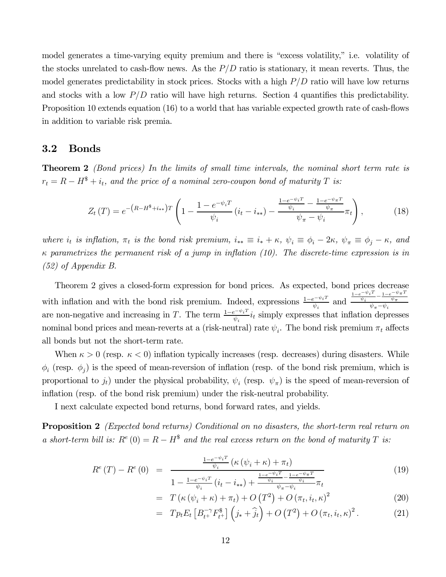model generates a time-varying equity premium and there is "excess volatility," i.e. volatility of the stocks unrelated to cash-flow news. As the  $P/D$  ratio is stationary, it mean reverts. Thus, the model generates predictability in stock prices. Stocks with a high  $P/D$  ratio will have low returns and stocks with a low  $P/D$  ratio will have high returns. Section 4 quantifies this predictability. Proposition 10 extends equation (16) to a world that has variable expected growth rate of cash-flows in addition to variable risk premia.

### 3.2 Bonds

**Theorem 2** (Bond prices) In the limits of small time intervals, the nominal short term rate is  $r_t = R - H^* + i_t$ , and the price of a nominal zero-coupon bond of maturity T is:

$$
Z_{t}(T) = e^{-\left(R - H^{s} + i_{**}\right)T} \left(1 - \frac{1 - e^{-\psi_{i}T}}{\psi_{i}}\left(i_{t} - i_{**}\right) - \frac{\frac{1 - e^{-\psi_{i}T}}{\psi_{i}} - \frac{1 - e^{-\psi_{\pi}T}}{\psi_{\pi}}}{\psi_{\pi} - \psi_{i}}\pi_{t}\right),\tag{18}
$$

where  $i_t$  is inflation,  $\pi_t$  is the bond risk premium,  $i_{**} \equiv i_* + \kappa$ ,  $\psi_i \equiv \phi_i - 2\kappa$ ,  $\psi_{\pi} \equiv \phi_j - \kappa$ , and  $\kappa$  parametrizes the permanent risk of a jump in inflation (10). The discrete-time expression is in (52) of Appendix B.

Theorem 2 gives a closed-form expression for bond prices. As expected, bond prices decrease with inflation and with the bond risk premium. Indeed, expressions  $\frac{1-e^{-\psi_i T}}{\psi_i}$  and  $\frac{1-e^{-\psi}i^T}{\psi_i}-\frac{1-e^{-\psi}\pi^T}{\psi_\pi}$  $\psi_{\pi} - \psi_i$ are non-negative and increasing in T. The term  $\frac{1-e^{-\psi_i T}}{\psi_i}i_t$  simply expresses that inflation depresses nominal bond prices and mean-reverts at a (risk-neutral) rate  $\psi_i$ . The bond risk premium  $\pi_t$  affects all bonds but not the short-term rate.

When  $\kappa > 0$  (resp.  $\kappa < 0$ ) inflation typically increases (resp. decreases) during disasters. While  $\phi_i$  (resp.  $\phi_j$ ) is the speed of mean-reversion of inflation (resp. of the bond risk premium, which is proportional to  $j_t$ ) under the physical probability,  $\psi_i$  (resp.  $\psi_{\pi}$ ) is the speed of mean-reversion of inflation (resp. of the bond risk premium) under the risk-neutral probability.

I next calculate expected bond returns, bond forward rates, and yields.

**Proposition 2** (Expected bond returns) Conditional on no disasters, the short-term real return on a short-term bill is:  $R^e(0) = R - H^s$  and the real excess return on the bond of maturity T is:

$$
R^{e}(T) - R^{e}(0) = \frac{\frac{1 - e^{-\psi_{i}T}}{\psi_{i}} \left(\kappa \left(\psi_{i} + \kappa\right) + \pi_{t}\right)}{1 - \frac{1 - e^{-\psi_{i}T}}{\psi_{i}} \left(i, -i\right) + \frac{\frac{1 - e^{-\psi_{i}T}}{\psi_{i}} - \frac{1 - e^{-\psi_{i}T}}{\psi_{i}}}{\psi_{i}}\right)}
$$
(19)

$$
1 - \frac{1 - e^{-\psi_i T}}{\psi_i} (i_t - i_{**}) + \frac{-\psi_i}{\psi_{\pi} - \psi_i} \pi_t
$$
  
= 
$$
T(\kappa (\psi_i + \kappa) + \pi_t) + O(T^2) + O(\pi_t, i_t, \kappa)^2
$$
 (20)

$$
= T p_t E_t \left[ B_{t+}^{-\gamma} F_{t+}^{\$} \right] \left( j_* + \widehat{j}_t \right) + O\left( T^2 \right) + O\left( \pi_t, i_t, \kappa \right)^2. \tag{21}
$$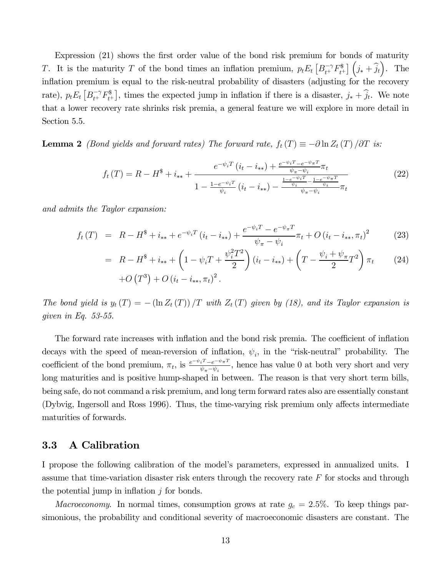Expression (21) shows the first order value of the bond risk premium for bonds of maturity T. It is the maturity T of the bond times an inflation premium,  $p_t E_t \left[ B_{t+}^{-\gamma} F_{t+}^{\$} \right] \left( j_* + \hat{j}_t \right)$ . The inflation premium is equal to the risk-neutral probability of disasters (adjusting for the recovery rate),  $p_t E_t \left[ B_{t^+}^{-\gamma} F_{t^+}^{\$} \right]$ , times the expected jump in inflation if there is a disaster,  $j_* + \hat{j}_t$ . We note that a lower recovery rate shrinks risk premia, a general feature we will explore in more detail in Section 5.5.

**Lemma 2** (Bond yields and forward rates) The forward rate,  $f_t(T) \equiv -\partial \ln Z_t(T)/\partial T$  is:

$$
f_t(T) = R - H^* + i_{**} + \frac{e^{-\psi_i T} (i_t - i_{**}) + \frac{e^{-\psi_i T} - e^{-\psi_\pi T}}{\psi_\pi - \psi_i}}{1 - \frac{1 - e^{-\psi_i T}}{\psi_i} (i_t - i_{**}) - \frac{\frac{1 - e^{-\psi_i T}}{\psi_i} - \frac{1 - e^{-\psi_\pi T}}{\psi_i}}{\psi_\pi - \psi_i}} \pi_t
$$
\n
$$
(22)
$$

and admits the Taylor expansion:

$$
f_t(T) = R - H^* + i_{**} + e^{-\psi_i T} (i_t - i_{**}) + \frac{e^{-\psi_i T} - e^{-\psi_\pi T}}{\psi_\pi - \psi_i} \pi_t + O(i_t - i_{**}, \pi_t)^2 \tag{23}
$$

$$
= R - H^* + i_{**} + \left(1 - \psi_i T + \frac{\psi_i^2 T^2}{2}\right) (i_t - i_{**}) + \left(T - \frac{\psi_i + \psi_\pi}{2} T^2\right) \pi_t \tag{24}
$$

$$
+ O(T^3) + O(i_t - i_{**}, \pi_t)^2.
$$

The bond yield is  $y_t(T) = -(\ln Z_t(T))/T$  with  $Z_t(T)$  given by (18), and its Taylor expansion is given in Eq. 53-55.

The forward rate increases with inflation and the bond risk premia. The coefficient of inflation decays with the speed of mean-reversion of inflation,  $\psi_i$ , in the "risk-neutral" probability. The coefficient of the bond premium,  $\pi_t$ , is  $\frac{e^{-\psi_i T} - e^{-\psi_{\pi} T}}{\psi_{\pi} - \psi_i}$ , hence has value 0 at both very short and very long maturities and is positive hump-shaped in between. The reason is that very short term bills, being safe, do not command a risk premium, and long term forward rates also are essentially constant (Dybvig, Ingersoll and Ross 1996). Thus, the time-varying risk premium only affects intermediate maturities of forwards.

### 3.3 A Calibration

I propose the following calibration of the model's parameters, expressed in annualized units. I assume that time-variation disaster risk enters through the recovery rate  $F$  for stocks and through the potential jump in inflation  $j$  for bonds.

Macroeconomy. In normal times, consumption grows at rate  $g_c = 2.5\%$ . To keep things parsimonious, the probability and conditional severity of macroeconomic disasters are constant. The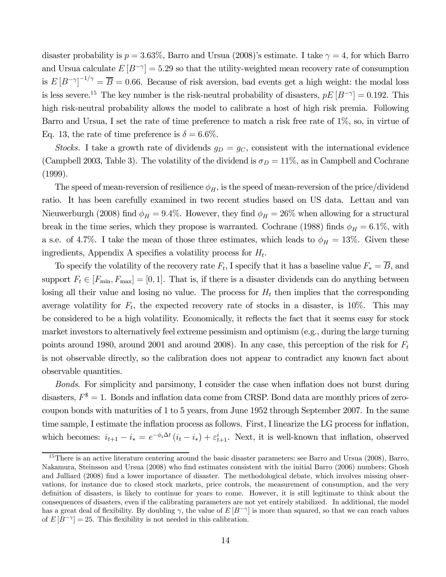disaster probability is  $p = 3.63\%$ , Barro and Ursua (2008)'s estimate. I take  $\gamma = 4$ , for which Barro and Ursua calculate  $E[B^{-\gamma}] = 5.29$  so that the utility-weighted mean recovery rate of consumption is  $E [B^{-\gamma}]^{-1/\gamma} = \overline{B} = 0.66$ . Because of risk aversion, bad events get a high weight: the modal loss is less severe.<sup>15</sup> The key number is the risk-neutral probability of disasters,  $pE[B^{-\gamma}] = 0.192$ . This high risk-neutral probability allows the model to calibrate a host of high risk premia. Following Barro and Ursua, I set the rate of time preference to match a risk free rate of 1%, so, in virtue of Eq. 13, the rate of time preference is  $\delta = 6.6\%$ .

Stocks. I take a growth rate of dividends  $g_D = g_C$ , consistent with the international evidence (Campbell 2003, Table 3). The volatility of the dividend is  $\sigma_D = 11\%$ , as in Campbell and Cochrane (1999).

The speed of mean-reversion of resilience  $\phi_H$ , is the speed of mean-reversion of the price/dividend ratio. It has been carefully examined in two recent studies based on US data. Lettau and van Nieuwerburgh (2008) find  $\phi_H = 9.4\%$ . However, they find  $\phi_H = 26\%$  when allowing for a structural break in the time series, which they propose is warranted. Cochrane (1988) finds  $\phi_H = 6.1\%$ , with a s.e. of 4.7%. I take the mean of those three estimates, which leads to  $\phi_H = 13\%$ . Given these ingredients, Appendix A specifies a volatility process for  $H_t$ .

To specify the volatility of the recovery rate  $F_t$ , I specify that it has a baseline value  $F_* = \overline{B}$ , and support  $F_t \in [F_{\min}, F_{\max}] = [0, 1]$ . That is, if there is a disaster dividends can do anything between losing all their value and losing no value. The process for  $H_t$  then implies that the corresponding average volatility for  $F_t$ , the expected recovery rate of stocks in a disaster, is 10%. This may be considered to be a high volatility. Economically, it reflects the fact that it seems easy for stock market investors to alternatively feel extreme pessimism and optimism (e.g., during the large turning points around 1980, around 2001 and around 2008). In any case, this perception of the risk for  $F_t$ is not observable directly, so the calibration does not appear to contradict any known fact about observable quantities.

Bonds. For simplicity and parsimony, I consider the case when inflation does not burst during disasters,  $F^* = 1$ . Bonds and inflation data come from CRSP. Bond data are monthly prices of zerocoupon bonds with maturities of 1 to 5 years, from June 1952 through September 2007. In the same time sample, I estimate the inflation process as follows. First, I linearize the LG process for inflation, which becomes:  $i_{t+1} - i_* = e^{-\phi_i \Delta t} (i_t - i_*) + \varepsilon_{t+1}^i$ . Next, it is well-known that inflation, observed

<sup>&</sup>lt;sup>15</sup>There is an active literature centering around the basic disaster parameters: see Barro and Ursua (2008), Barro, Nakamura, Steinsson and Ursua (2008) who find estimates consistent with the initial Barro (2006) numbers; Ghosh and Julliard (2008) find a lower importance of disaster. The methodological debate, which involves missing observations, for instance due to closed stock markets, price controls, the measurement of consumption, and the very definition of disasters, is likely to continue for years to come. However, it is still legitimate to think about the consequences of disasters, even if the calibrating parameters are not yet entirely stabilized. In additional, the model has a great deal of flexibility. By doubling  $\gamma$ , the value of  $E[B^{-\gamma}]$  is more than squared, so that we can reach values of  $E[B^{-\gamma}] = 25$ . This flexibility is not needed in this calibration.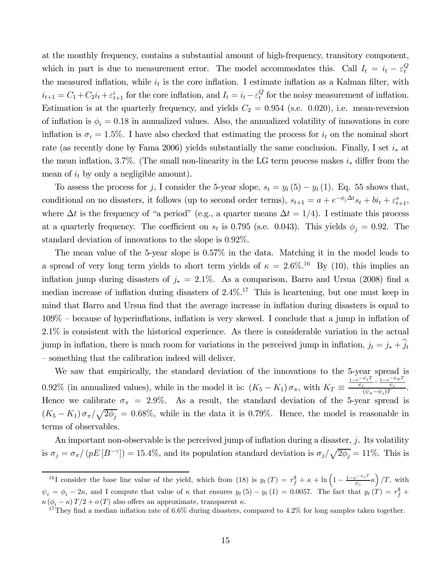at the monthly frequency, contains a substantial amount of high-frequency, transitory component, which in part is due to measurement error. The model accommodates this. Call  $I_t = i_t - \varepsilon_t^Q$ t the measured inflation, while  $i_t$  is the core inflation. I estimate inflation as a Kalman filter, with  $i_{t+1} = C_1 + C_2 i_t + \varepsilon_{t+1}^i$  for the core inflation, and  $I_t = i_t - \varepsilon_t^Q$  for the noisy measurement of inflation. Estimation is at the quarterly frequency, and yields  $C_2 = 0.954$  (s.e. 0.020), i.e. mean-reversion of inflation is  $\phi_i = 0.18$  in annualized values. Also, the annualized volatility of innovations in core inflation is  $\sigma_i = 1.5\%$ . I have also checked that estimating the process for  $i_t$  on the nominal short rate (as recently done by Fama 2006) yields substantially the same conclusion. Finally, I set  $i_*$  at the mean inflation, 3.7%. (The small non-linearity in the LG term process makes  $i_*$  differ from the mean of  $i_t$  by only a negligible amount).

To assess the process for j, I consider the 5-year slope,  $s_t = y_t(5) - y_t(1)$ . Eq. 55 shows that, conditional on no disasters, it follows (up to second order terms),  $s_{t+1} = a + e^{-\phi_j \Delta t} s_t + bi_t + \varepsilon_{t+1}^s$ , where  $\Delta t$  is the frequency of "a period" (e.g., a quarter means  $\Delta t = 1/4$ ). I estimate this process at a quarterly frequency. The coefficient on  $s_t$  is 0.795 (s.e. 0.043). This yields  $\phi_j = 0.92$ . The standard deviation of innovations to the slope is 0.92%.

The mean value of the 5-year slope is 0.57% in the data. Matching it in the model leads to a spread of very long term yields to short term yields of  $\kappa = 2.6\%$ .<sup>16</sup> By (10), this implies an inflation jump during disasters of  $j_* = 2.1\%$ . As a comparison, Barro and Ursua (2008) find a median increase of inflation during disasters of  $2.4\%$ .<sup>17</sup> This is heartening, but one must keep in mind that Barro and Ursua find that the average increase in inflation during disasters is equal to 109% — because of hyperinflations, inflation is very skewed. I conclude that a jump in inflation of 2.1% is consistent with the historical experience. As there is considerable variation in the actual jump in inflation, there is much room for variations in the perceived jump in inflation,  $j_t = j_* + \hat{j}_t$ — something that the calibration indeed will deliver.

We saw that empirically, the standard deviation of the innovations to the 5-year spread is 0.92% (in annualized values), while in the model it is:  $(K_5 - K_1) \sigma_{\pi}$ , with  $K_T \equiv$  $\frac{1-e^{-\psi_i T}}{\psi_i} - \frac{1-e^{-\psi_\pi T}}{\psi_i}}{(\psi_\pi - \psi_i)T}.$ Hence we calibrate  $\sigma_{\pi} = 2.9\%$ . As a result, the standard deviation of the 5-year spread is  $(K_5 - K_1) \sigma_{\pi} / \sqrt{2\phi_j} = 0.68\%$ , while in the data it is 0.79%. Hence, the model is reasonable in terms of observables.

An important non-observable is the perceived jump of inflation during a disaster,  $j$ . Its volatility is  $\sigma_j = \sigma_{\pi}/(pE[B^{-\gamma}]) = 15.4\%$ , and its population standard deviation is  $\sigma_j/\sqrt{2\phi_j} = 11\%$ . This is

<sup>&</sup>lt;sup>16</sup>I consider the base line value of the yield, which from (18) is  $y_t(T) = r_f^{\$} + \kappa + \ln\left(1 - \frac{1 - e^{-\psi_i T}}{\psi_i} \kappa\right)/T$ , with  $\psi_i = \phi_i - 2\kappa$ , and I compute that value of  $\kappa$  that ensures  $y_t(5) - y_t(1) = 0.0057$ . The fact that  $y_t(T) = r_f^{\$} +$  $\kappa (\phi_i - \kappa) T/2 + o(T)$  also offers an approximate, transparent  $\kappa$ .<br><sup>17</sup>They find a median inflation rate of 6.6% during disasters, compared to 4.2% for long samples taken together.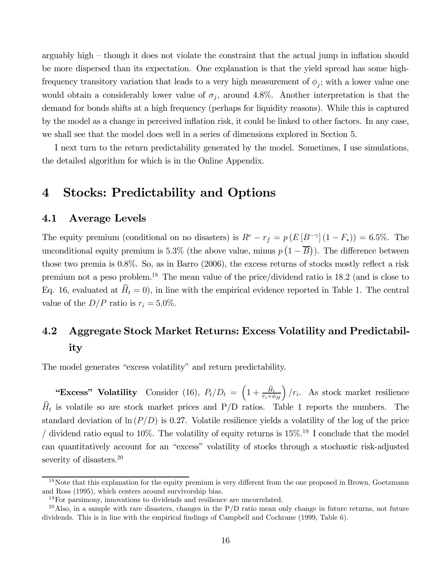arguably high — though it does not violate the constraint that the actual jump in inflation should be more dispersed than its expectation. One explanation is that the yield spread has some highfrequency transitory variation that leads to a very high measurement of  $\phi_j$ ; with a lower value one would obtain a considerably lower value of  $\sigma_j$ , around 4.8%. Another interpretation is that the demand for bonds shifts at a high frequency (perhaps for liquidity reasons). While this is captured by the model as a change in perceived inflation risk, it could be linked to other factors. In any case, we shall see that the model does well in a series of dimensions explored in Section 5.

I next turn to the return predictability generated by the model. Sometimes, I use simulations, the detailed algorithm for which is in the Online Appendix.

### 4 Stocks: Predictability and Options

#### 4.1 Average Levels

The equity premium (conditional on no disasters) is  $R^e - r_f = p(E[B^{-\gamma}](1 - F_*)) = 6.5\%$ . The unconditional equity premium is 5.3% (the above value, minus  $p(1-\overline{B})$ ). The difference between those two premia is 0.8%. So, as in Barro (2006), the excess returns of stocks mostly reflect a risk premium not a peso problem.18 The mean value of the price/dividend ratio is 18.2 (and is close to Eq. 16, evaluated at  $\hat{H}_t = 0$ , in line with the empirical evidence reported in Table 1. The central value of the  $D/P$  ratio is  $r_i = 5.0\%$ .

## 4.2 Aggregate Stock Market Returns: Excess Volatility and Predictability

The model generates "excess volatility" and return predictability.

"Excess" Volatility Consider (16),  $P_t/D_t = \left(1 + \frac{\hat{H}_t}{r_i + \phi_H}\right)$  $\int$  /r<sub>i</sub>. As stock market resilience  $\widehat{H}_t$  is volatile so are stock market prices and P/D ratios. Table 1 reports the numbers. The standard deviation of  $\ln (P/D)$  is 0.27. Volatile resilience yields a volatility of the log of the price / dividend ratio equal to 10%. The volatility of equity returns is  $15\%$ <sup>19</sup> I conclude that the model can quantitatively account for an "excess" volatility of stocks through a stochastic risk-adjusted severity of disasters.<sup>20</sup>

<sup>&</sup>lt;sup>18</sup>Note that this explanation for the equity premium is very different from the one proposed in Brown, Goetzmann and Ross (1995), which centers around survivorship bias.

 $19\,\text{For parsimony, innovations to dividends and resilience are uncorrelated.}$ 

<sup>&</sup>lt;sup>20</sup>Also, in a sample with rare disasters, changes in the P/D ratio mean only change in future returns, not future dividends. This is in line with the empirical findings of Campbell and Cochrane (1999, Table 6).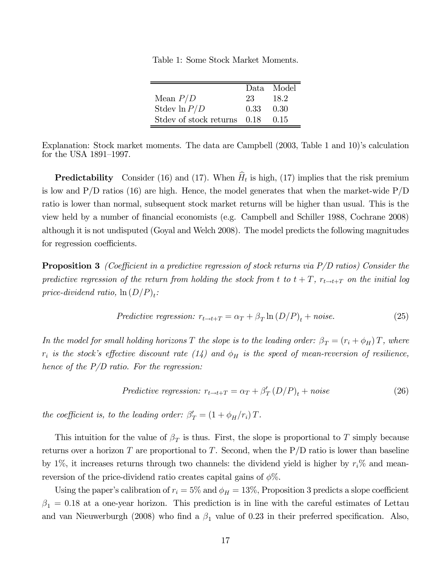Table 1: Some Stock Market Moments.

|                             |      | Data Model |
|-----------------------------|------|------------|
| Mean $P/D$                  | 23   | 18.2       |
| Stdev $\ln P/D$             | 0.33 | -0.30      |
| Stdev of stock returns 0.18 |      | 0.15       |

Explanation: Stock market moments. The data are Campbell (2003, Table 1 and 10)'s calculation for the USA 1891—1997.

**Predictability** Consider (16) and (17). When  $\hat{H}_t$  is high, (17) implies that the risk premium is low and  $P/D$  ratios (16) are high. Hence, the model generates that when the market-wide  $P/D$ ratio is lower than normal, subsequent stock market returns will be higher than usual. This is the view held by a number of financial economists (e.g. Campbell and Schiller 1988, Cochrane 2008) although it is not undisputed (Goyal and Welch 2008). The model predicts the following magnitudes for regression coefficients.

**Proposition 3** (Coefficient in a predictive regression of stock returns via  $P/D$  ratios) Consider the predictive regression of the return from holding the stock from t to  $t + T$ ,  $r_{t \to t+T}$  on the initial log price-dividend ratio,  $\ln(D/P)_t$ :

*Predictive regression:* 
$$
r_{t\to t+T} = \alpha_T + \beta_T \ln(D/P)_t + noise.
$$
 (25)

In the model for small holding horizons T the slope is to the leading order:  $\beta_T = (r_i + \phi_H)T$ , where  $r_i$  is the stock's effective discount rate (14) and  $\phi_H$  is the speed of mean-reversion of resilience, hence of the  $P/D$  ratio. For the regression:

$$
Predictive regression: r_{t \to t+T} = \alpha_T + \beta'_T (D/P)_t + noise \tag{26}
$$

the coefficient is, to the leading order:  $\beta'_T = (1 + \phi_H/r_i) T$ .

This intuition for the value of  $\beta_T$  is thus. First, the slope is proportional to T simply because returns over a horizon  $T$  are proportional to  $T$ . Second, when the  $P/D$  ratio is lower than baseline by 1%, it increases returns through two channels: the dividend yield is higher by  $r_i$ % and meanreversion of the price-dividend ratio creates capital gains of  $\phi\%$ .

Using the paper's calibration of  $r_i = 5\%$  and  $\phi_H = 13\%$ , Proposition 3 predicts a slope coefficient  $\beta_1 = 0.18$  at a one-year horizon. This prediction is in line with the careful estimates of Lettau and van Nieuwerburgh (2008) who find a  $\beta_1$  value of 0.23 in their preferred specification. Also,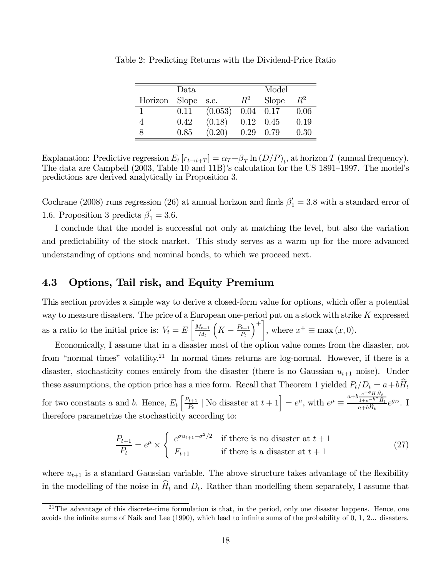|         | Data         |         |       | Model        |       |
|---------|--------------|---------|-------|--------------|-------|
| Horizon | <b>Slope</b> | s.e.    | $R^2$ | <b>Slope</b> | $R^2$ |
|         | 0.11         | (0.053) | 0.04  | 0.17         | 0.06  |
|         | 0.42         | (0.18)  | 0.12  | 0.45         | 0.19  |
|         | 0.85         | (0.20)  | 0.29  | 0.79         | 0.30  |

Table 2: Predicting Returns with the Dividend-Price Ratio

Explanation: Predictive regression  $E_t [r_{t\to t+T}] = \alpha_T + \beta_T \ln(D/P)_t$ , at horizon T (annual frequency). The data are Campbell (2003, Table 10 and 11B)'s calculation for the US 1891—1997. The model's predictions are derived analytically in Proposition 3.

Cochrane (2008) runs regression (26) at annual horizon and finds  $\beta'_1 = 3.8$  with a standard error of 1.6. Proposition 3 predicts  $\beta'_1 = 3.6$ .

I conclude that the model is successful not only at matching the level, but also the variation and predictability of the stock market. This study serves as a warm up for the more advanced understanding of options and nominal bonds, to which we proceed next.

### 4.3 Options, Tail risk, and Equity Premium

This section provides a simple way to derive a closed-form value for options, which offer a potential way to measure disasters. The price of a European one-period put on a stock with strike  $K$  expressed as a ratio to the initial price is:  $V_t = E$  $\left[ \frac{M_{t+1}}{M_{t+1}} \right]$  $M_t$  $\left(K - \frac{P_{t+1}}{P_t}\right)$  $\setminus^+$ , where  $x^+ \equiv \max(x, 0)$ .

Economically, I assume that in a disaster most of the option value comes from the disaster, not from "normal times" volatility.<sup>21</sup> In normal times returns are log-normal. However, if there is a disaster, stochasticity comes entirely from the disaster (there is no Gaussian  $u_{t+1}$  noise). Under these assumptions, the option price has a nice form. Recall that Theorem 1 yielded  $P_t/D_t = a + b\hat{H}_t$ for two constants a and b. Hence,  $E_t\left[\frac{P_{t+1}}{P_t}\mid\text{No disaster at }t+1\right] = e^{\mu}$ , with  $e^{\mu} \equiv \frac{a+b\frac{e^{-\phi}H\hat{H}_t}{1+e^{-h^*}\hat{H}_t}}{a+b\hat{H}_t}$  $1+e^{-h^*}\hat{H}_t$  $\frac{1+e^{-h^*}H_t}{a+b\hat{H}_t}e^{g_D}$ . I therefore parametrize the stochasticity according to:

$$
\frac{P_{t+1}}{P_t} = e^{\mu} \times \begin{cases} e^{\sigma u_{t+1} - \sigma^2/2} & \text{if there is no disaster at } t+1\\ F_{t+1} & \text{if there is a disaster at } t+1 \end{cases}
$$
(27)

where  $u_{t+1}$  is a standard Gaussian variable. The above structure takes advantage of the flexibility in the modelling of the noise in  $\widehat{H}_t$  and  $D_t$ . Rather than modelling them separately, I assume that

 $^{21}$ The advantage of this discrete-time formulation is that, in the period, only one disaster happens. Hence, one avoids the infinite sums of Naik and Lee (1990), which lead to infinite sums of the probability of 0, 1, 2... disasters.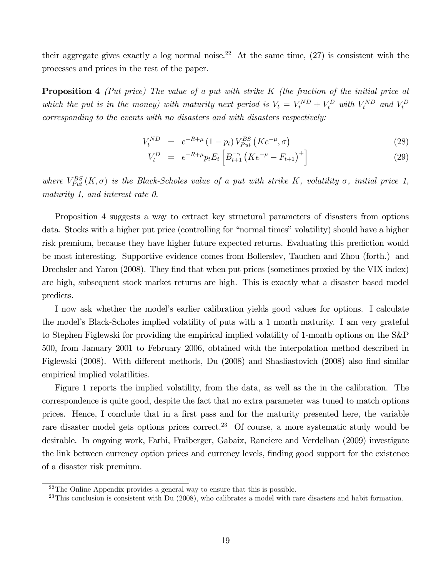their aggregate gives exactly a log normal noise.<sup>22</sup> At the same time,  $(27)$  is consistent with the processes and prices in the rest of the paper.

**Proposition 4** (Put price) The value of a put with strike K (the fraction of the initial price at which the put is in the money) with maturity next period is  $V_t = V_t^{ND} + V_t^D$  with  $V_t^{ND}$  and  $V_t^D$ corresponding to the events with no disasters and with disasters respectively:

$$
V_t^{ND} = e^{-R+\mu} (1-p_t) V_{Put}^{BS} (K e^{-\mu}, \sigma)
$$
\n(28)

$$
V_t^D = e^{-R+\mu} p_t E_t \left[ B_{t+1}^{-\gamma} \left( K e^{-\mu} - F_{t+1} \right)^+ \right] \tag{29}
$$

where  $V_{Put}^{BS}(K,\sigma)$  is the Black-Scholes value of a put with strike K, volatility  $\sigma$ , initial price 1, maturity 1, and interest rate 0.

Proposition 4 suggests a way to extract key structural parameters of disasters from options data. Stocks with a higher put price (controlling for "normal times" volatility) should have a higher risk premium, because they have higher future expected returns. Evaluating this prediction would be most interesting. Supportive evidence comes from Bollerslev, Tauchen and Zhou (forth.) and Drechsler and Yaron (2008). They find that when put prices (sometimes proxied by the VIX index) are high, subsequent stock market returns are high. This is exactly what a disaster based model predicts.

I now ask whether the model's earlier calibration yields good values for options. I calculate the model's Black-Scholes implied volatility of puts with a 1 month maturity. I am very grateful to Stephen Figlewski for providing the empirical implied volatility of 1-month options on the S&P 500, from January 2001 to February 2006, obtained with the interpolation method described in Figlewski (2008). With different methods, Du (2008) and Shasliastovich (2008) also find similar empirical implied volatilities.

Figure 1 reports the implied volatility, from the data, as well as the in the calibration. The correspondence is quite good, despite the fact that no extra parameter was tuned to match options prices. Hence, I conclude that in a first pass and for the maturity presented here, the variable rare disaster model gets options prices correct.<sup>23</sup> Of course, a more systematic study would be desirable. In ongoing work, Farhi, Fraiberger, Gabaix, Ranciere and Verdelhan (2009) investigate the link between currency option prices and currency levels, finding good support for the existence of a disaster risk premium.

 $22$ The Online Appendix provides a general way to ensure that this is possible.

 $^{23}$ This conclusion is consistent with Du (2008), who calibrates a model with rare disasters and habit formation.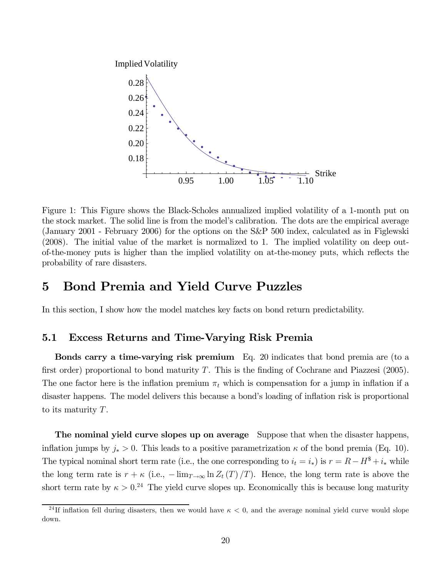

Figure 1: This Figure shows the Black-Scholes annualized implied volatility of a 1-month put on the stock market. The solid line is from the model's calibration. The dots are the empirical average (January 2001 - February 2006) for the options on the S&P 500 index, calculated as in Figlewski (2008). The initial value of the market is normalized to 1. The implied volatility on deep outof-the-money puts is higher than the implied volatility on at-the-money puts, which reflects the probability of rare disasters.

### 5 Bond Premia and Yield Curve Puzzles

In this section, I show how the model matches key facts on bond return predictability.

### 5.1 Excess Returns and Time-Varying Risk Premia

Bonds carry a time-varying risk premium Eq. 20 indicates that bond premia are (to a first order) proportional to bond maturity  $T$ . This is the finding of Cochrane and Piazzesi (2005). The one factor here is the inflation premium  $\pi_t$  which is compensation for a jump in inflation if a disaster happens. The model delivers this because a bond's loading of inflation risk is proportional to its maturity T.

The nominal yield curve slopes up on average Suppose that when the disaster happens, inflation jumps by  $j_* > 0$ . This leads to a positive parametrization  $\kappa$  of the bond premia (Eq. 10). The typical nominal short term rate (i.e., the one corresponding to  $i_t = i_*$ ) is  $r = R - H^* + i_*$  while the long term rate is  $r + \kappa$  (i.e.,  $-\lim_{T\to\infty} \ln Z_t(T)/T$ ). Hence, the long term rate is above the short term rate by  $\kappa > 0.24$  The yield curve slopes up. Economically this is because long maturity

<sup>&</sup>lt;sup>24</sup>If inflation fell during disasters, then we would have  $\kappa < 0$ , and the average nominal yield curve would slope down.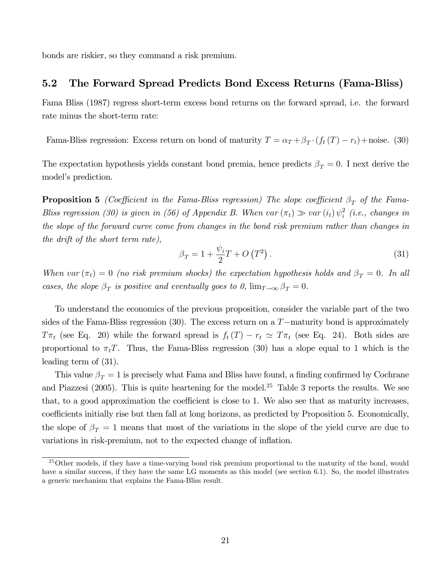bonds are riskier, so they command a risk premium.

### 5.2 The Forward Spread Predicts Bond Excess Returns (Fama-Bliss)

Fama Bliss (1987) regress short-term excess bond returns on the forward spread, i.e. the forward rate minus the short-term rate:

Fama-Bliss regression: Excess return on bond of maturity  $T = \alpha_T + \beta_T \cdot (f_t(T) - r_t) + \text{noise.}$  (30)

The expectation hypothesis yields constant bond premia, hence predicts  $\beta_T = 0$ . I next derive the model's prediction.

**Proposition 5** (Coefficient in the Fama-Bliss regression) The slope coefficient  $\beta_T$  of the Fama-Bliss regression (30) is given in (56) of Appendix B. When var  $(\pi_t) \gg var(i_t) \psi_i^2$  (i.e., changes in the slope of the forward curve come from changes in the bond risk premium rather than changes in the drift of the short term rate),

$$
\beta_T = 1 + \frac{\psi_i}{2} T + O\left(T^2\right). \tag{31}
$$

When var  $(\pi_t)=0$  (no risk premium shocks) the expectation hypothesis holds and  $\beta_T = 0$ . In all cases, the slope  $\beta_T$  is positive and eventually goes to 0,  $\lim_{T\to\infty} \beta_T = 0$ .

To understand the economics of the previous proposition, consider the variable part of the two sides of the Fama-Bliss regression (30). The excess return on a T−maturity bond is approximately  $T\pi_t$  (see Eq. 20) while the forward spread is  $f_t(T) - r_t \simeq T\pi_t$  (see Eq. 24). Both sides are proportional to  $\pi_t T$ . Thus, the Fama-Bliss regression (30) has a slope equal to 1 which is the leading term of (31).

This value  $\beta_T = 1$  is precisely what Fama and Bliss have found, a finding confirmed by Cochrane and Piazzesi (2005). This is quite heartening for the model.<sup>25</sup> Table 3 reports the results. We see that, to a good approximation the coefficient is close to 1. We also see that as maturity increases, coefficients initially rise but then fall at long horizons, as predicted by Proposition 5. Economically, the slope of  $\beta_T = 1$  means that most of the variations in the slope of the yield curve are due to variations in risk-premium, not to the expected change of inflation.

 $^{25}$ Other models, if they have a time-varying bond risk premium proportional to the maturity of the bond, would have a similar success, if they have the same LG moments as this model (see section 6.1). So, the model illustrates a generic mechanism that explains the Fama-Bliss result.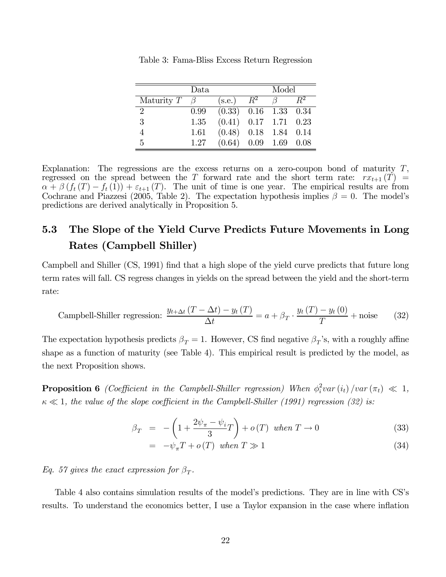|            | Data    |                               | Model |                  |  |
|------------|---------|-------------------------------|-------|------------------|--|
| Maturity T | $\beta$ | (s.e.)                        | $R^2$ |                  |  |
| 2          | 0.99    | $(0.33)$ $0.16$ $1.33$ $0.34$ |       |                  |  |
| 3          | 1.35    | $(0.41)$ $0.17$ $1.71$ $0.23$ |       |                  |  |
|            | 1.61    | $(0.48)$ $0.18$ $1.84$ $0.14$ |       |                  |  |
| 5          | 1.27    | (0.64)                        |       | $0.09$ 1.69 0.08 |  |

Table 3: Fama-Bliss Excess Return Regression

Explanation: The regressions are the excess returns on a zero-coupon bond of maturity  $T$ , regressed on the spread between the T forward rate and the short term rate:  $rx_{t+1}(T)$  =  $\alpha + \beta (f_t(T) - f_t(1)) + \varepsilon_{t+1}(T)$ . The unit of time is one year. The empirical results are from Cochrane and Piazzesi (2005, Table 2). The expectation hypothesis implies  $\beta = 0$ . The model's predictions are derived analytically in Proposition 5.

## 5.3 The Slope of the Yield Curve Predicts Future Movements in Long Rates (Campbell Shiller)

Campbell and Shiller (CS, 1991) find that a high slope of the yield curve predicts that future long term rates will fall. CS regress changes in yields on the spread between the yield and the short-term rate:

$$
\text{ Campbell-Shiller regression: } \frac{y_{t+\Delta t} (T - \Delta t) - y_t (T)}{\Delta t} = a + \beta_T \cdot \frac{y_t (T) - y_t (0)}{T} + \text{noise} \tag{32}
$$

The expectation hypothesis predicts  $\beta_T = 1$ . However, CS find negative  $\beta_T$ 's, with a roughly affine shape as a function of maturity (see Table 4). This empirical result is predicted by the model, as the next Proposition shows.

**Proposition 6** (Coefficient in the Campbell-Shiller regression) When  $\phi_i^2 var(i_t)/var(\pi_t) \ll 1$ ,  $\kappa \ll 1$ , the value of the slope coefficient in the Campbell-Shiller (1991) regression (32) is:

$$
\beta_T = -\left(1 + \frac{2\psi_\pi - \psi_i}{3}T\right) + o(T) \text{ when } T \to 0 \tag{33}
$$

$$
= -\psi_{\pi} T + o(T) \quad when \quad T \gg 1 \tag{34}
$$

Eq. 57 gives the exact expression for  $\beta_T$ .

Table 4 also contains simulation results of the model's predictions. They are in line with CS's results. To understand the economics better, I use a Taylor expansion in the case where inflation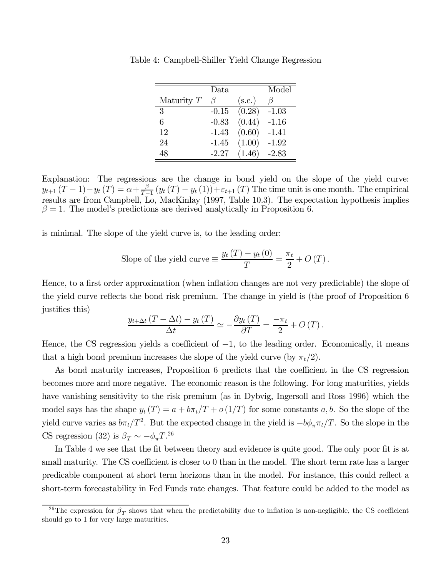|              | Data    |        | Model   |
|--------------|---------|--------|---------|
| Maturity $T$ |         | (s.e.) |         |
| 3            | $-0.15$ | (0.28) | $-1.03$ |
| 6            | $-0.83$ | (0.44) | $-1.16$ |
| 12           | $-1.43$ | (0.60) | $-1.41$ |
| 24           | $-1.45$ | (1.00) | $-1.92$ |
| 48           | $-2.27$ | (1.46) | $-2.83$ |

Table 4: Campbell-Shiller Yield Change Regression

Explanation: The regressions are the change in bond yield on the slope of the yield curve:  $y_{t+1}(T-1)-y_t(T) = \alpha + \frac{\beta}{T-1} (y_t(T)-y_t(1))+\varepsilon_{t+1}(T)$  The time unit is one month. The empirical results are from Campbell, Lo, MacKinlay (1997, Table 10.3). The expectation hypothesis implies  $\beta = 1$ . The model's predictions are derived analytically in Proposition 6.

is minimal. The slope of the yield curve is, to the leading order:

Slope of the yield curve 
$$
\equiv \frac{y_t(T) - y_t(0)}{T} = \frac{\pi_t}{2} + O(T)
$$
.

Hence, to a first order approximation (when inflation changes are not very predictable) the slope of the yield curve reflects the bond risk premium. The change in yield is (the proof of Proposition 6 justifies this)

$$
\frac{y_{t+\Delta t} (T - \Delta t) - y_t (T)}{\Delta t} \simeq -\frac{\partial y_t (T)}{\partial T} = \frac{-\pi_t}{2} + O(T).
$$

Hence, the CS regression yields a coefficient of  $-1$ , to the leading order. Economically, it means that a high bond premium increases the slope of the yield curve (by  $\pi_t/2$ ).

As bond maturity increases, Proposition 6 predicts that the coefficient in the CS regression becomes more and more negative. The economic reason is the following. For long maturities, yields have vanishing sensitivity to the risk premium (as in Dybvig, Ingersoll and Ross 1996) which the model says has the shape  $y_t(T) = a + b\pi_t/T + o(1/T)$  for some constants a, b. So the slope of the yield curve varies as  $b\pi_t/T^2$ . But the expected change in the yield is  $-b\phi_\pi\pi_t/T$ . So the slope in the CS regression (32) is  $\beta_T \sim -\phi_\pi T^{26}$ 

In Table 4 we see that the fit between theory and evidence is quite good. The only poor fit is at small maturity. The CS coefficient is closer to 0 than in the model. The short term rate has a larger predicable component at short term horizons than in the model. For instance, this could reflect a short-term forecastability in Fed Funds rate changes. That feature could be added to the model as

<sup>&</sup>lt;sup>26</sup>The expression for  $\beta_T$  shows that when the predictability due to inflation is non-negligible, the CS coefficient should go to 1 for very large maturities.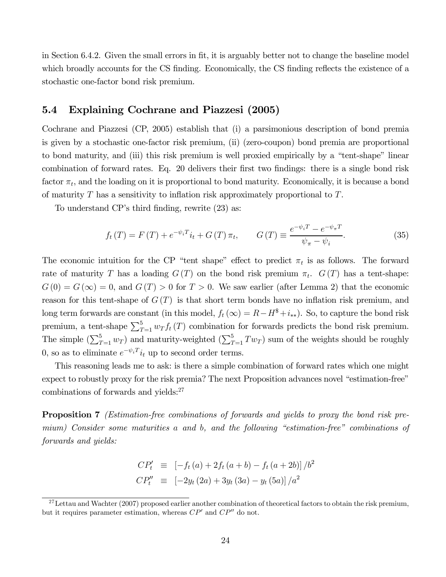in Section 6.4.2. Given the small errors in fit, it is arguably better not to change the baseline model which broadly accounts for the CS finding. Economically, the CS finding reflects the existence of a stochastic one-factor bond risk premium.

### 5.4 Explaining Cochrane and Piazzesi (2005)

Cochrane and Piazzesi (CP, 2005) establish that (i) a parsimonious description of bond premia is given by a stochastic one-factor risk premium, (ii) (zero-coupon) bond premia are proportional to bond maturity, and (iii) this risk premium is well proxied empirically by a "tent-shape" linear combination of forward rates. Eq. 20 delivers their first two findings: there is a single bond risk factor  $\pi_t$ , and the loading on it is proportional to bond maturity. Economically, it is because a bond of maturity  $T$  has a sensitivity to inflation risk approximately proportional to  $T$ .

To understand CP's third finding, rewrite (23) as:

$$
f_t(T) = F(T) + e^{-\psi_i T} i_t + G(T) \pi_t, \qquad G(T) \equiv \frac{e^{-\psi_i T} - e^{-\psi_{\pi} T}}{\psi_{\pi} - \psi_i}.
$$
 (35)

The economic intuition for the CP "tent shape" effect to predict  $\pi_t$  is as follows. The forward rate of maturity T has a loading  $G(T)$  on the bond risk premium  $\pi_t$ .  $G(T)$  has a tent-shape:  $G(0) = G(\infty) = 0$ , and  $G(T) > 0$  for  $T > 0$ . We saw earlier (after Lemma 2) that the economic reason for this tent-shape of  $G(T)$  is that short term bonds have no inflation risk premium, and long term forwards are constant (in this model,  $f_t(\infty) = R - H^* + i_{**}$ ). So, to capture the bond risk premium, a tent-shape  $\sum_{T=1}^{5} w_T f_t(T)$  combination for forwards predicts the bond risk premium. The simple  $(\sum_{T=1}^{5} w_T)$  and maturity-weighted  $(\sum_{T=1}^{5} Tw_T)$  sum of the weights should be roughly 0, so as to eliminate  $e^{-\psi_i T} i_t$  up to second order terms.

This reasoning leads me to ask: is there a simple combination of forward rates which one might expect to robustly proxy for the risk premia? The next Proposition advances novel "estimation-free" combinations of forwards and yields:<sup>27</sup>

**Proposition 7** (*Estimation-free combinations of forwards and yields to proxy the bond risk pre*mium) Consider some maturities a and b, and the following "estimation-free" combinations of forwards and yields:

$$
CP'_{t} \equiv [-f_{t}(a) + 2f_{t}(a+b) - f_{t}(a+2b)]/b^{2}
$$
  
\n
$$
CP''_{t} \equiv [-2y_{t}(2a) + 3y_{t}(3a) - y_{t}(5a)]/a^{2}
$$

 $^{27}$ Lettau and Wachter (2007) proposed earlier another combination of theoretical factors to obtain the risk premium, but it requires parameter estimation, whereas  $\mathbb{CP}^{\prime}$  and  $\mathbb{CP}^{\prime\prime}$  do not.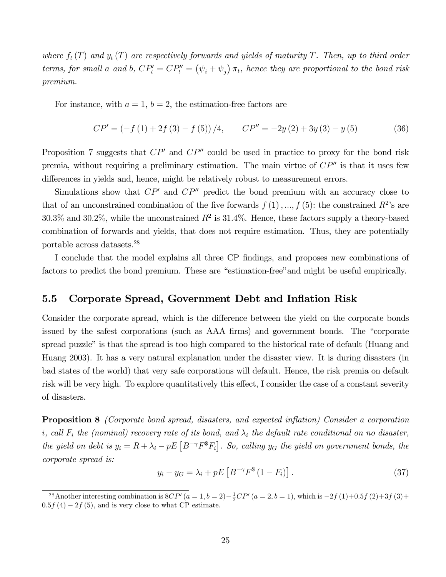where  $f_t(T)$  and  $y_t(T)$  are respectively forwards and yields of maturity T. Then, up to third order terms, for small a and b,  $CP'_t = CP''_t = (\psi_i + \psi_j) \pi_t$ , hence they are proportional to the bond risk premium.

For instance, with  $a = 1$ ,  $b = 2$ , the estimation-free factors are

$$
CP' = \left(-f(1) + 2f(3) - f(5)\right)/4, \qquad CP'' = -2y(2) + 3y(3) - y(5) \tag{36}
$$

Proposition 7 suggests that  $CP<sup>0</sup>$  and  $CP<sup>0</sup>$  could be used in practice to proxy for the bond risk premia, without requiring a preliminary estimation. The main virtue of  $\mathbb{CP}^n$  is that it uses few differences in yields and, hence, might be relatively robust to measurement errors.

Simulations show that  $\mathbb{CP}^n$  and  $\mathbb{CP}^n$  predict the bond premium with an accuracy close to that of an unconstrained combination of the five forwards  $f(1), ..., f(5)$ : the constrained  $R^2$ 's are  $30.3\%$  and  $30.2\%$ , while the unconstrained  $R^2$  is  $31.4\%$ . Hence, these factors supply a theory-based combination of forwards and yields, that does not require estimation. Thus, they are potentially portable across datasets.28

I conclude that the model explains all three CP findings, and proposes new combinations of factors to predict the bond premium. These are "estimation-free"and might be useful empirically.

### 5.5 Corporate Spread, Government Debt and Inflation Risk

Consider the corporate spread, which is the difference between the yield on the corporate bonds issued by the safest corporations (such as AAA firms) and government bonds. The "corporate spread puzzle" is that the spread is too high compared to the historical rate of default (Huang and Huang 2003). It has a very natural explanation under the disaster view. It is during disasters (in bad states of the world) that very safe corporations will default. Hence, the risk premia on default risk will be very high. To explore quantitatively this effect, I consider the case of a constant severity of disasters.

Proposition 8 (Corporate bond spread, disasters, and expected inflation) Consider a corporation i, call  $F_i$  the (nominal) recovery rate of its bond, and  $\lambda_i$  the default rate conditional on no disaster, the yield on debt is  $y_i = R + \lambda_i - pE\left[B^{-\gamma}F^*F_i\right]$ . So, calling  $y_G$  the yield on government bonds, the corporate spread is:

$$
y_i - y_G = \lambda_i + pE\left[B^{-\gamma}F^*(1 - F_i)\right].\tag{37}
$$

<sup>&</sup>lt;sup>28</sup>Another interesting combination is  $8CP'(a = 1, b = 2) - \frac{1}{2}CP'(a = 2, b = 1)$ , which is  $-2f(1)+0.5f(2)+3f(3)+$  $0.5f(4) - 2f(5)$ , and is very close to what CP estimate.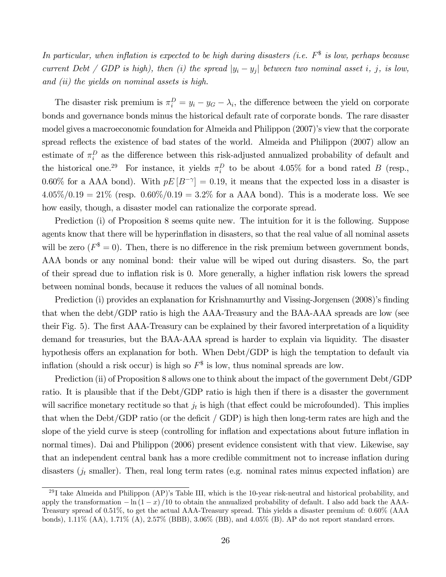In particular, when inflation is expected to be high during disasters (i.e.  $F^*$  is low, perhaps because current Debt / GDP is high), then (i) the spread  $|y_i - y_j|$  between two nominal asset i, j, is low, and (ii) the yields on nominal assets is high.

The disaster risk premium is  $\pi_i^D = y_i - y_G - \lambda_i$ , the difference between the yield on corporate bonds and governance bonds minus the historical default rate of corporate bonds. The rare disaster model gives a macroeconomic foundation for Almeida and Philippon (2007)'s view that the corporate spread reflects the existence of bad states of the world. Almeida and Philippon (2007) allow an estimate of  $\pi_i^D$  as the difference between this risk-adjusted annualized probability of default and the historical one.<sup>29</sup> For instance, it yields  $\pi_i^D$  to be about 4.05% for a bond rated B (resp., 0.60% for a AAA bond). With  $pE[B^{-\gamma}]=0.19$ , it means that the expected loss in a disaster is  $4.05\%/0.19 = 21\%$  (resp.  $0.60\%/0.19 = 3.2\%$  for a AAA bond). This is a moderate loss. We see how easily, though, a disaster model can rationalize the corporate spread.

Prediction (i) of Proposition 8 seems quite new. The intuition for it is the following. Suppose agents know that there will be hyperinflation in disasters, so that the real value of all nominal assets will be zero  $(F^* = 0)$ . Then, there is no difference in the risk premium between government bonds, AAA bonds or any nominal bond: their value will be wiped out during disasters. So, the part of their spread due to inflation risk is 0. More generally, a higher inflation risk lowers the spread between nominal bonds, because it reduces the values of all nominal bonds.

Prediction (i) provides an explanation for Krishnamurthy and Vissing-Jorgensen (2008)'s finding that when the debt/GDP ratio is high the AAA-Treasury and the BAA-AAA spreads are low (see their Fig. 5). The first AAA-Treasury can be explained by their favored interpretation of a liquidity demand for treasuries, but the BAA-AAA spread is harder to explain via liquidity. The disaster hypothesis offers an explanation for both. When Debt/GDP is high the temptation to default via inflation (should a risk occur) is high so  $F^*$  is low, thus nominal spreads are low.

Prediction (ii) of Proposition 8 allows one to think about the impact of the government Debt/GDP ratio. It is plausible that if the Debt/GDP ratio is high then if there is a disaster the government will sacrifice monetary rectitude so that  $j_t$  is high (that effect could be microfounded). This implies that when the Debt/GDP ratio (or the deficit / GDP) is high then long-term rates are high and the slope of the yield curve is steep (controlling for inflation and expectations about future inflation in normal times). Dai and Philippon (2006) present evidence consistent with that view. Likewise, say that an independent central bank has a more credible commitment not to increase inflation during disasters  $(j_t$  smaller). Then, real long term rates (e.g. nominal rates minus expected inflation) are

 $^{29}$ I take Almeida and Philippon (AP)'s Table III, which is the 10-year risk-neutral and historical probability, and apply the transformation  $-\ln(1-x)/10$  to obtain the annualized probability of default. I also add back the AAA-Treasury spread of 0.51%, to get the actual AAA-Treasury spread. This yields a disaster premium of: 0.60% (AAA bonds), 1.11% (AA), 1.71% (A), 2.57% (BBB), 3.06% (BB), and 4.05% (B). AP do not report standard errors.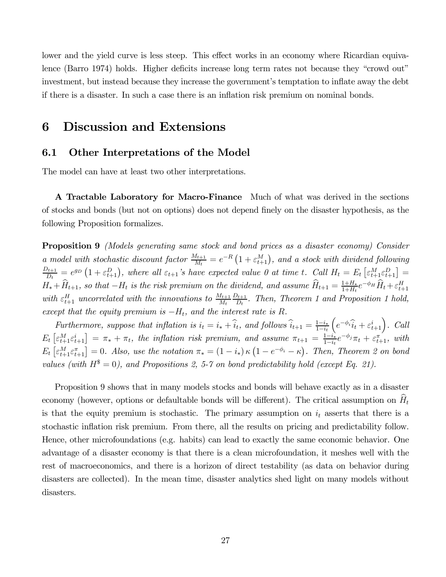lower and the yield curve is less steep. This effect works in an economy where Ricardian equivalence (Barro 1974) holds. Higher deficits increase long term rates not because they "crowd out" investment, but instead because they increase the government's temptation to inflate away the debt if there is a disaster. In such a case there is an inflation risk premium on nominal bonds.

### 6 Discussion and Extensions

### 6.1 Other Interpretations of the Model

The model can have at least two other interpretations.

A Tractable Laboratory for Macro-Finance Much of what was derived in the sections of stocks and bonds (but not on options) does not depend finely on the disaster hypothesis, as the following Proposition formalizes.

Proposition 9 (Models generating same stock and bond prices as a disaster economy) Consider a model with stochastic discount factor  $\frac{M_{t+1}}{M_t} = e^{-R} \left(1 + \varepsilon_{t+1}^M\right)$ , and a stock with dividend following  $\frac{D_{t+1}}{D_t} = e^{g_D} \left(1 + \varepsilon_{t+1}^D\right)$ , where all  $\varepsilon_{t+1}$ 's have expected value 0 at time t. Call  $H_t = E_t \left[\varepsilon_{t+1}^M \varepsilon_{t+1}^D\right] =$  $H_* + \hat{H}_{t+1}$ , so that  $-H_t$  is the risk premium on the dividend, and assume  $\hat{H}_{t+1} = \frac{1+H_*}{1+H_t}e^{-\phi_H}\hat{H}_t + \varepsilon_{t+1}^H$ with  $\varepsilon_{t+1}^H$  uncorrelated with the innovations to  $\frac{M_{t+1}}{M_t}$  $\frac{D_{t+1}}{D_t}$ . Then, Theorem 1 and Proposition 1 hold, except that the equity premium is  $-H_t$ , and the interest rate is R.

Furthermore, suppose that inflation is  $i_t = i_* + \hat{i}_t$ , and follows  $\hat{i}_{t+1} = \frac{1-i_*}{1-i_t}$  $\left(e^{-\phi_i}\hat{i}_t + \varepsilon_{t+1}^i\right)$ . Call  $E_t\left[\varepsilon_{t+1}^M\varepsilon_{t+1}^i\right] = \pi_* + \pi_t$ , the inflation risk premium, and assume  $\pi_{t+1} = \frac{1-i_*}{1-i_t}e^{-\phi_j}\pi_t + \varepsilon_{t+1}^{\pi'}$ , with  $E_t\left[\varepsilon_{t+1}^M\varepsilon_{t+1}^{\pi}\right]=0$ . Also, use the notation  $\pi_*= (1-i_*)\kappa\left(1-e^{-\phi_i}-\kappa\right)$ . Then, Theorem 2 on bond values (with  $H^* = 0$ ), and Propositions 2, 5-7 on bond predictability hold (except Eq. 21).

Proposition 9 shows that in many models stocks and bonds will behave exactly as in a disaster economy (however, options or defaultable bonds will be different). The critical assumption on  $\hat{H}_t$ is that the equity premium is stochastic. The primary assumption on  $i_t$  asserts that there is a stochastic inflation risk premium. From there, all the results on pricing and predictability follow. Hence, other microfoundations (e.g. habits) can lead to exactly the same economic behavior. One advantage of a disaster economy is that there is a clean microfoundation, it meshes well with the rest of macroeconomics, and there is a horizon of direct testability (as data on behavior during disasters are collected). In the mean time, disaster analytics shed light on many models without disasters.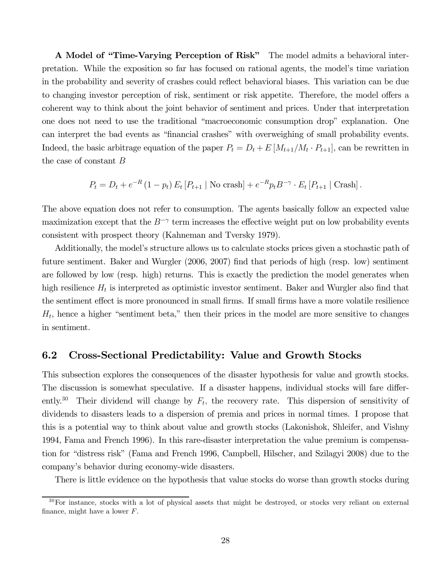A Model of "Time-Varying Perception of Risk" The model admits a behavioral interpretation. While the exposition so far has focused on rational agents, the model's time variation in the probability and severity of crashes could reflect behavioral biases. This variation can be due to changing investor perception of risk, sentiment or risk appetite. Therefore, the model offers a coherent way to think about the joint behavior of sentiment and prices. Under that interpretation one does not need to use the traditional "macroeconomic consumption drop" explanation. One can interpret the bad events as "financial crashes" with overweighing of small probability events. Indeed, the basic arbitrage equation of the paper  $P_t = D_t + E[M_{t+1}/M_t \cdot P_{t+1}]$ , can be rewritten in the case of constant B

$$
P_t = D_t + e^{-R} (1 - p_t) E_t [P_{t+1} | \text{No crash}] + e^{-R} p_t B^{-\gamma} \cdot E_t [P_{t+1} | \text{Crash}].
$$

The above equation does not refer to consumption. The agents basically follow an expected value maximization except that the  $B^{-\gamma}$  term increases the effective weight put on low probability events consistent with prospect theory (Kahneman and Tversky 1979).

Additionally, the model's structure allows us to calculate stocks prices given a stochastic path of future sentiment. Baker and Wurgler (2006, 2007) find that periods of high (resp. low) sentiment are followed by low (resp. high) returns. This is exactly the prediction the model generates when high resilience  $H_t$  is interpreted as optimistic investor sentiment. Baker and Wurgler also find that the sentiment effect is more pronounced in small firms. If small firms have a more volatile resilience  $H_t$ , hence a higher "sentiment beta," then their prices in the model are more sensitive to changes in sentiment.

### 6.2 Cross-Sectional Predictability: Value and Growth Stocks

This subsection explores the consequences of the disaster hypothesis for value and growth stocks. The discussion is somewhat speculative. If a disaster happens, individual stocks will fare differently.<sup>30</sup> Their dividend will change by  $F_t$ , the recovery rate. This dispersion of sensitivity of dividends to disasters leads to a dispersion of premia and prices in normal times. I propose that this is a potential way to think about value and growth stocks (Lakonishok, Shleifer, and Vishny 1994, Fama and French 1996). In this rare-disaster interpretation the value premium is compensation for "distress risk" (Fama and French 1996, Campbell, Hilscher, and Szilagyi 2008) due to the company's behavior during economy-wide disasters.

There is little evidence on the hypothesis that value stocks do worse than growth stocks during

 $30$ For instance, stocks with a lot of physical assets that might be destroyed, or stocks very reliant on external finance, might have a lower  $F$ .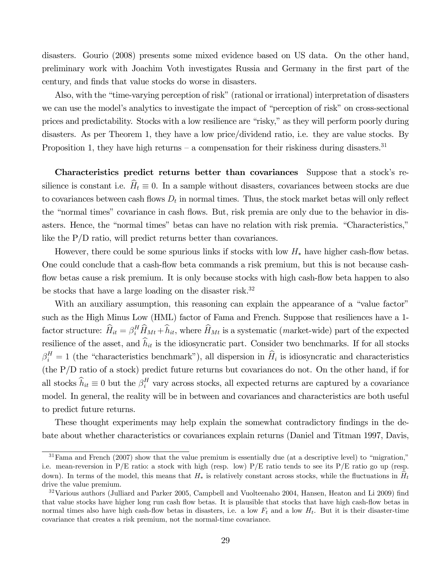disasters. Gourio (2008) presents some mixed evidence based on US data. On the other hand, preliminary work with Joachim Voth investigates Russia and Germany in the first part of the century, and finds that value stocks do worse in disasters.

Also, with the "time-varying perception of risk" (rational or irrational) interpretation of disasters we can use the model's analytics to investigate the impact of "perception of risk" on cross-sectional prices and predictability. Stocks with a low resilience are "risky," as they will perform poorly during disasters. As per Theorem 1, they have a low price/dividend ratio, i.e. they are value stocks. By Proposition 1, they have high returns – a compensation for their riskiness during disasters.<sup>31</sup>

Characteristics predict returns better than covariances Suppose that a stock's resilience is constant i.e.  $\hat{H}_t \equiv 0$ . In a sample without disasters, covariances between stocks are due to covariances between cash flows  $D_t$  in normal times. Thus, the stock market betas will only reflect the "normal times" covariance in cash flows. But, risk premia are only due to the behavior in disasters. Hence, the "normal times" betas can have no relation with risk premia. "Characteristics," like the P/D ratio, will predict returns better than covariances.

However, there could be some spurious links if stocks with low  $H_*$  have higher cash-flow betas. One could conclude that a cash-flow beta commands a risk premium, but this is not because cashflow betas cause a risk premium. It is only because stocks with high cash-flow beta happen to also be stocks that have a large loading on the disaster risk.<sup>32</sup>

With an auxiliary assumption, this reasoning can explain the appearance of a "value factor" such as the High Minus Low (HML) factor of Fama and French. Suppose that resiliences have a 1 factor structure:  $\hat{H}_{it} = \beta_i^H \hat{H}_{Mt} + \hat{h}_{it}$ , where  $\hat{H}_{Mt}$  is a systematic (market-wide) part of the expected resilience of the asset, and  $h_{it}$  is the idiosyncratic part. Consider two benchmarks. If for all stocks  $\beta_i^H = 1$  (the "characteristics benchmark"), all dispersion in  $\hat{H}_i$  is idiosyncratic and characteristics (the P/D ratio of a stock) predict future returns but covariances do not. On the other hand, if for all stocks  $\hat{h}_{it} \equiv 0$  but the  $\beta_i^H$  vary across stocks, all expected returns are captured by a covariance model. In general, the reality will be in between and covariances and characteristics are both useful to predict future returns.

These thought experiments may help explain the somewhat contradictory findings in the debate about whether characteristics or covariances explain returns (Daniel and Titman 1997, Davis,

 $31$  Fama and French (2007) show that the value premium is essentially due (at a descriptive level) to "migration," i.e. mean-reversion in  $P/E$  ratio: a stock with high (resp. low)  $P/E$  ratio tends to see its  $P/E$  ratio go up (resp. down). In terms of the model, this means that  $H_*$  is relatively constant across stocks, while the fluctuations in  $H_t$ drive the value premium.

 $32$ Various authors (Julliard and Parker 2005, Campbell and Vuolteenaho 2004, Hansen, Heaton and Li 2009) find that value stocks have higher long run cash flow betas. It is plausible that stocks that have high cash-flow betas in normal times also have high cash-flow betas in disasters, i.e. a low  $F_t$  and a low  $H_t$ . But it is their disaster-time covariance that creates a risk premium, not the normal-time covariance.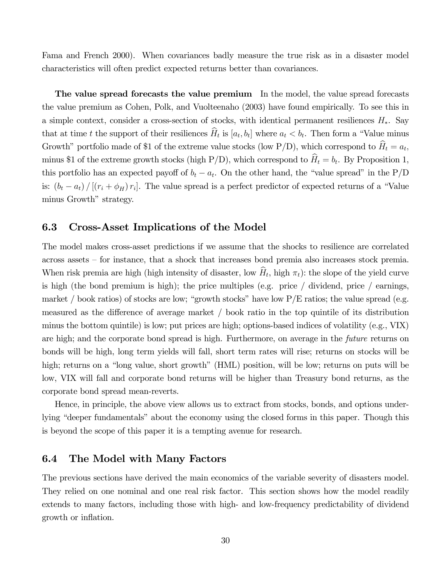Fama and French 2000). When covariances badly measure the true risk as in a disaster model characteristics will often predict expected returns better than covariances.

The value spread forecasts the value premium In the model, the value spread forecasts the value premium as Cohen, Polk, and Vuolteenaho (2003) have found empirically. To see this in a simple context, consider a cross-section of stocks, with identical permanent resiliences  $H_*$ . Say that at time t the support of their resiliences  $\hat{H}_t$  is  $[a_t, b_t]$  where  $a_t < b_t$ . Then form a "Value minus Growth" portfolio made of \$1 of the extreme value stocks (low P/D), which correspond to  $\hat{H}_t = a_t$ , minus \$1 of the extreme growth stocks (high P/D), which correspond to  $\hat{H}_t = b_t$ . By Proposition 1, this portfolio has an expected payoff of  $b_t - a_t$ . On the other hand, the "value spread" in the P/D is:  $(b_t - a_t) / [(r_i + \phi_H) r_i]$ . The value spread is a perfect predictor of expected returns of a "Value" minus Growth" strategy.

### 6.3 Cross-Asset Implications of the Model

The model makes cross-asset predictions if we assume that the shocks to resilience are correlated across assets — for instance, that a shock that increases bond premia also increases stock premia. When risk premia are high (high intensity of disaster, low  $\hat{H}_t$ , high  $\pi_t$ ): the slope of the yield curve is high (the bond premium is high); the price multiples (e.g. price / dividend, price / earnings, market / book ratios) of stocks are low; "growth stocks" have low  $P/E$  ratios; the value spread (e.g. measured as the difference of average market / book ratio in the top quintile of its distribution minus the bottom quintile) is low; put prices are high; options-based indices of volatility (e.g., VIX) are high; and the corporate bond spread is high. Furthermore, on average in the future returns on bonds will be high, long term yields will fall, short term rates will rise; returns on stocks will be high; returns on a "long value, short growth" (HML) position, will be low; returns on puts will be low, VIX will fall and corporate bond returns will be higher than Treasury bond returns, as the corporate bond spread mean-reverts.

Hence, in principle, the above view allows us to extract from stocks, bonds, and options underlying "deeper fundamentals" about the economy using the closed forms in this paper. Though this is beyond the scope of this paper it is a tempting avenue for research.

#### 6.4 The Model with Many Factors

The previous sections have derived the main economics of the variable severity of disasters model. They relied on one nominal and one real risk factor. This section shows how the model readily extends to many factors, including those with high- and low-frequency predictability of dividend growth or inflation.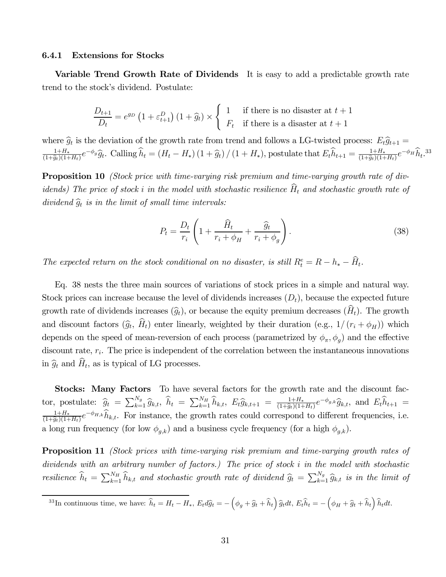#### 6.4.1 Extensions for Stocks

Variable Trend Growth Rate of Dividends It is easy to add a predictable growth rate trend to the stock's dividend. Postulate:

$$
\frac{D_{t+1}}{D_t} = e^{g_D} \left( 1 + \varepsilon_{t+1}^D \right) \left( 1 + \widehat{g}_t \right) \times \begin{cases} 1 & \text{if there is no disaster at } t+1 \\ F_t & \text{if there is a disaster at } t+1 \end{cases}
$$

where  $\hat{g}_t$  is the deviation of the growth rate from trend and follows a LG-twisted process:  $E_t\hat{g}_{t+1} =$  $\frac{1+H_*}{(1+\hat{g}_t)(1+H_t)}e^{-\phi_g}\hat{g}_t$ . Calling  $\hat{h}_t = (H_t - H_*) (1+\hat{g}_t)/(1+H_*)$ , postulate that  $E_t\hat{h}_{t+1} = \frac{1+H_*}{(1+\hat{g}_t)(1+H_t)}e^{-\phi_H}\hat{h}_t$ .<sup>33</sup>

**Proposition 10** (Stock price with time-varying risk premium and time-varying growth rate of dividends) The price of stock i in the model with stochastic resilience  $\widehat{H}_t$  and stochastic growth rate of dividend  $\widehat{g}_t$  is in the limit of small time intervals:

$$
P_t = \frac{D_t}{r_i} \left( 1 + \frac{\widehat{H}_t}{r_i + \phi_H} + \frac{\widehat{g}_t}{r_i + \phi_g} \right). \tag{38}
$$

The expected return on the stock conditional on no disaster, is still  $R_t^e = R - h_* - \hat{H}_t$ .

Eq. 38 nests the three main sources of variations of stock prices in a simple and natural way. Stock prices can increase because the level of dividends increases  $(D_t)$ , because the expected future growth rate of dividends increases  $(\widehat{g}_t)$ , or because the equity premium decreases  $(\widehat{H}_t)$ . The growth and discount factors  $(\widehat{g}_t, \widehat{H}_t)$  enter linearly, weighted by their duration (e.g.,  $1/(r_i + \phi_H)$ ) which depends on the speed of mean-reversion of each process (parametrized by  $\phi_{\pi}, \phi_{q}$ ) and the effective discount rate,  $r_i$ . The price is independent of the correlation between the instantaneous innovations in  $\hat{g}_t$  and  $\hat{H}_t$ , as is typical of LG processes.

Stocks: Many Factors To have several factors for the growth rate and the discount factor, postulate:  $\hat{g}_t = \sum_{k=1}^{N_g} \hat{g}_{k,t}, \ \hat{h}_t = \sum_{k=1}^{N_H} \hat{h}_{k,t}, \ E_t \hat{g}_{k,t+1} = \frac{1+H_*}{(1+\hat{g}_t)(1+H_t)} e^{-\phi_{g,k}} \hat{g}_{k,t},$  and  $E_t \hat{h}_{t+1} =$  $\frac{1+H_*}{(1+\hat{g}_t)(1+H_t)}e^{-\phi_{H,k}}\hat{h}_{k,t}$ . For instance, the growth rates could correspond to different frequencies, i.e. a long run frequency (for low  $\phi_{g,k}$ ) and a business cycle frequency (for a high  $\phi_{g,k}$ ).

**Proposition 11** (Stock prices with time-varying risk premium and time-varying growth rates of dividends with an arbitrary number of factors.) The price of stock i in the model with stochastic resilience  $\hat{h}_t = \sum_{k=1}^{N_H} \hat{h}_{k,t}$  and stochastic growth rate of dividend  $\hat{g}_t = \sum_{k=1}^{N_g} \hat{g}_{k,t}$  is in the limit of

<sup>&</sup>lt;sup>33</sup>In continuous time, we have:  $\hat{h}_t = H_t - H_*$ ,  $E_t d\hat{g}_t = -\left(\phi_g + \hat{g}_t + \hat{h}_t\right) \hat{g}_t dt$ ,  $E_t \hat{h}_t = -\left(\phi_H + \hat{g}_t + \hat{h}_t\right)$  $h_t dt$ .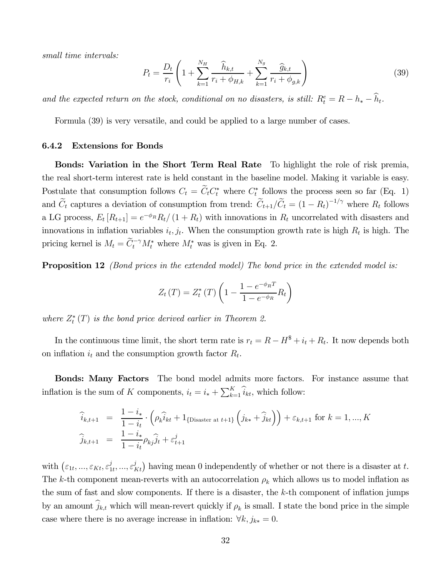small time intervals:

$$
P_t = \frac{D_t}{r_i} \left( 1 + \sum_{k=1}^{N_H} \frac{\widehat{h}_{k,t}}{r_i + \phi_{H,k}} + \sum_{k=1}^{N_g} \frac{\widehat{g}_{k,t}}{r_i + \phi_{g,k}} \right)
$$
(39)

and the expected return on the stock, conditional on no disasters, is still:  $R_t^e = R - h_* - \tilde{h}_t$ .

Formula (39) is very versatile, and could be applied to a large number of cases.

#### 6.4.2 Extensions for Bonds

Bonds: Variation in the Short Term Real Rate To highlight the role of risk premia, the real short-term interest rate is held constant in the baseline model. Making it variable is easy. Postulate that consumption follows  $C_t = C_t C_t^*$  where  $C_t^*$  follows the process seen so far (Eq. 1) and  $\tilde{C}_t$  captures a deviation of consumption from trend:  $\tilde{C}_{t+1}/\tilde{C}_t = (1 - R_t)^{-1/\gamma}$  where  $R_t$  follows a LG process,  $E_t[R_{t+1}] = e^{-\phi_R}R_t/(1+R_t)$  with innovations in  $R_t$  uncorrelated with disasters and innovations in inflation variables  $i_t, j_t$ . When the consumption growth rate is high  $R_t$  is high. The pricing kernel is  $M_t = \widetilde{C}_t^{-\gamma} M_t^*$  where  $M_t^*$  was is given in Eq. 2.

**Proposition 12** (Bond prices in the extended model) The bond price in the extended model is:

$$
Z_t(T) = Z_t^*(T) \left( 1 - \frac{1 - e^{-\phi_R T}}{1 - e^{-\phi_R}} R_t \right)
$$

where  $Z_t^*(T)$  is the bond price derived earlier in Theorem 2.

In the continuous time limit, the short term rate is  $r_t = R - H^* + i_t + R_t$ . It now depends both on inflation  $i_t$  and the consumption growth factor  $R_t$ .

Bonds: Many Factors The bond model admits more factors. For instance assume that inflation is the sum of K components,  $i_t = i_* + \sum_{k=1}^{K} \hat{i}_{kt}$ , which follow:

$$
\begin{aligned}\n\hat{i}_{k,t+1} &= \frac{1-i_*}{1-i_t} \cdot \left( \rho_k \hat{i}_{kt} + 1_{\{\text{Disaster at } t+1\}} \left( j_{k*} + \hat{j}_{kt} \right) \right) + \varepsilon_{k,t+1} \text{ for } k = 1, ..., K \\
\hat{j}_{k,t+1} &= \frac{1-i_*}{1-i_t} \rho_{kj} \hat{j}_t + \varepsilon_{t+1}^j\n\end{aligned}
$$

with  $(\varepsilon_{1t},...,\varepsilon_{Kt},\varepsilon_{1t}^j,...,\varepsilon_{Kt}^j)$  having mean 0 independently of whether or not there is a disaster at t. The k-th component mean-reverts with an autocorrelation  $\rho_k$  which allows us to model inflation as the sum of fast and slow components. If there is a disaster, the k-th component of inflation jumps by an amount  $\hat{j}_{k,t}$  which will mean-revert quickly if  $\rho_k$  is small. I state the bond price in the simple case where there is no average increase in inflation:  $\forall k, j_{k*} = 0$ .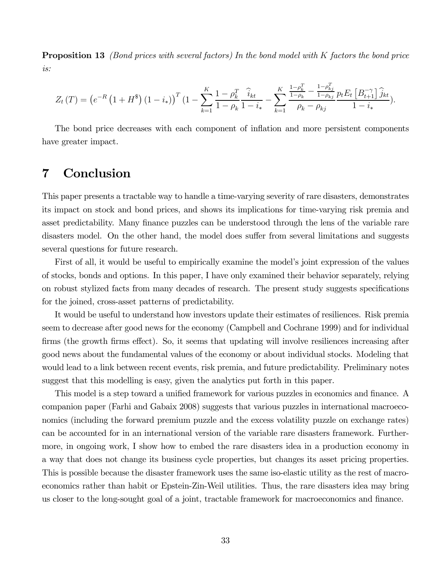**Proposition 13** (Bond prices with several factors) In the bond model with K factors the bond price is:

$$
Z_t(T) = \left(e^{-R}\left(1+H^*\right)\left(1-i_*\right)\right)^T\left(1-\sum_{k=1}^K\frac{1-\rho_k^T}{1-\rho_k}\frac{\widehat{i}_{kt}}{1-i_*}-\sum_{k=1}^K\frac{\frac{1-\rho_k^T}{1-\rho_k}-\frac{1-\rho_{kj}^T}{1-\rho_{kj}}}{\rho_k-\rho_{kj}}\frac{p_tE_t\left[B_{t+1}^{-\gamma}\right]\widehat{j}_{kt}}{1-i_*}\right).
$$

The bond price decreases with each component of inflation and more persistent components have greater impact.

## 7 Conclusion

This paper presents a tractable way to handle a time-varying severity of rare disasters, demonstrates its impact on stock and bond prices, and shows its implications for time-varying risk premia and asset predictability. Many finance puzzles can be understood through the lens of the variable rare disasters model. On the other hand, the model does suffer from several limitations and suggests several questions for future research.

First of all, it would be useful to empirically examine the model's joint expression of the values of stocks, bonds and options. In this paper, I have only examined their behavior separately, relying on robust stylized facts from many decades of research. The present study suggests specifications for the joined, cross-asset patterns of predictability.

It would be useful to understand how investors update their estimates of resiliences. Risk premia seem to decrease after good news for the economy (Campbell and Cochrane 1999) and for individual firms (the growth firms effect). So, it seems that updating will involve resiliences increasing after good news about the fundamental values of the economy or about individual stocks. Modeling that would lead to a link between recent events, risk premia, and future predictability. Preliminary notes suggest that this modelling is easy, given the analytics put forth in this paper.

This model is a step toward a unified framework for various puzzles in economics and finance. A companion paper (Farhi and Gabaix 2008) suggests that various puzzles in international macroeconomics (including the forward premium puzzle and the excess volatility puzzle on exchange rates) can be accounted for in an international version of the variable rare disasters framework. Furthermore, in ongoing work, I show how to embed the rare disasters idea in a production economy in a way that does not change its business cycle properties, but changes its asset pricing properties. This is possible because the disaster framework uses the same iso-elastic utility as the rest of macroeconomics rather than habit or Epstein-Zin-Weil utilities. Thus, the rare disasters idea may bring us closer to the long-sought goal of a joint, tractable framework for macroeconomics and finance.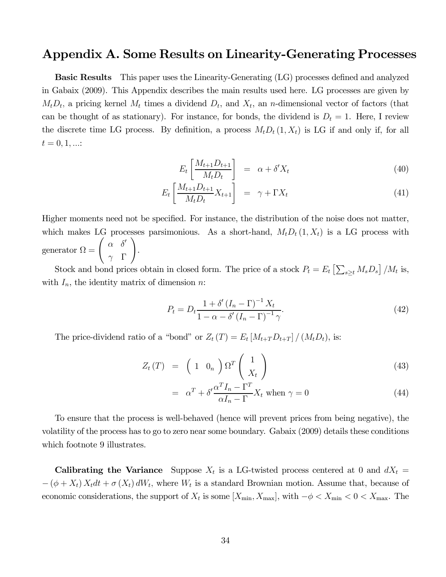### Appendix A. Some Results on Linearity-Generating Processes

Basic Results This paper uses the Linearity-Generating (LG) processes defined and analyzed in Gabaix (2009). This Appendix describes the main results used here. LG processes are given by  $M_tD_t$ , a pricing kernel  $M_t$  times a dividend  $D_t$ , and  $X_t$ , an *n*-dimensional vector of factors (that can be thought of as stationary). For instance, for bonds, the dividend is  $D_t = 1$ . Here, I review the discrete time LG process. By definition, a process  $M_t D_t (1, X_t)$  is LG if and only if, for all  $t = 0, 1, ...$ 

$$
E_t \left[ \frac{M_{t+1} D_{t+1}}{M_t D_t} \right] = \alpha + \delta' X_t \tag{40}
$$

$$
E_t \left[ \frac{M_{t+1} D_{t+1}}{M_t D_t} X_{t+1} \right] = \gamma + \Gamma X_t \tag{41}
$$

Higher moments need not be specified. For instance, the distribution of the noise does not matter, which makes LG processes parsimonious. As a short-hand,  $M_t D_t (1, X_t)$  is a LG process with generator  $\Omega =$  $\int \alpha \delta'$  $\gamma$  Γ  $\setminus$ .

Stock and bond prices obtain in closed form. The price of a stock  $P_t = E_t \left[ \sum_{s \geq t} M_s D_s \right] / M_t$  is, with  $I_n$ , the identity matrix of dimension *n*:

$$
P_t = D_t \frac{1 + \delta' \left(I_n - \Gamma\right)^{-1} X_t}{1 - \alpha - \delta' \left(I_n - \Gamma\right)^{-1} \gamma}.
$$
\n
$$
(42)
$$

The price-dividend ratio of a "bond" or  $Z_t(T) = E_t [M_{t+T}D_{t+T}]/(M_t D_t)$ , is:

$$
Z_t(T) = \left(1 \ 0_n\right) \Omega^T \left(\frac{1}{X_t}\right) \tag{43}
$$

$$
= \alpha^T + \delta' \frac{\alpha^T I_n - \Gamma^T}{\alpha I_n - \Gamma} X_t \text{ when } \gamma = 0 \tag{44}
$$

To ensure that the process is well-behaved (hence will prevent prices from being negative), the volatility of the process has to go to zero near some boundary. Gabaix (2009) details these conditions which footnote 9 illustrates.

**Calibrating the Variance** Suppose  $X_t$  is a LG-twisted process centered at 0 and  $dX_t =$  $-(\phi + X_t) X_t dt + \sigma (X_t) dW_t$ , where  $W_t$  is a standard Brownian motion. Assume that, because of economic considerations, the support of  $X_t$  is some  $[X_{\min}, X_{\max}]$ , with  $-\phi < X_{\min} < 0 < X_{\max}$ . The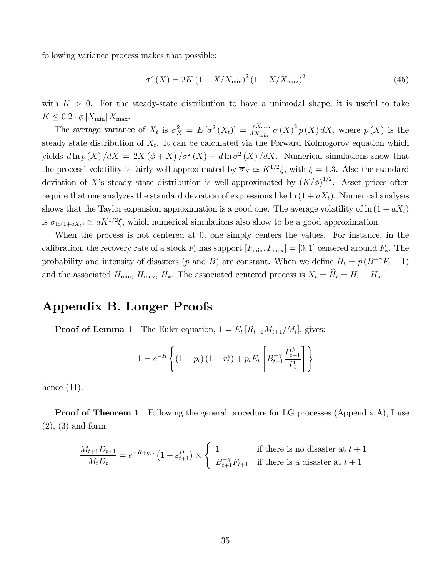following variance process makes that possible:

$$
\sigma^{2}\left(X\right) = 2K\left(1 - X/X_{\text{min}}\right)^{2}\left(1 - X/X_{\text{max}}\right)^{2}
$$
\n(45)

with  $K > 0$ . For the steady-state distribution to have a unimodal shape, it is useful to take  $K \leq 0.2 \cdot \phi \left| X_{\min} \right| X_{\max}$ .

The average variance of  $X_t$  is  $\overline{\sigma}_X^2 = E[\sigma^2(X_t)] = \int_{X_{\min}}^{X_{\max}} \sigma(X)^2 p(X) dX$ , where  $p(X)$  is the steady state distribution of  $X_t$ . It can be calculated via the Forward Kolmogorov equation which yields  $d \ln p(X)/dX = 2X (\phi + X)/\sigma^2(X) - d \ln \sigma^2(X)/dX$ . Numerical simulations show that the process' volatility is fairly well-approximated by  $\overline{\sigma}_X \simeq K^{1/2}\xi$ , with  $\xi = 1.3$ . Also the standard deviation of X's steady state distribution is well-approximated by  $(K/\phi)^{1/2}$ . Asset prices often require that one analyzes the standard deviation of expressions like  $\ln (1 + aX_t)$ . Numerical analysis shows that the Taylor expansion approximation is a good one. The average volatility of  $\ln(1 + aX_t)$ is  $\overline{\sigma}_{\ln(1+aX_t)} \simeq aK^{1/2}\xi$ , which numerical simulations also show to be a good approximation.

When the process is not centered at 0, one simply centers the values. For instance, in the calibration, the recovery rate of a stock  $F_t$  has support  $[F_{\min}, F_{\max}] = [0, 1]$  centered around  $F_*$ . The probability and intensity of disasters (p and B) are constant. When we define  $H_t = p(B^{-\gamma}F_t - 1)$ and the associated  $H_{\min}$ ,  $H_{\max}$ ,  $H_*$ . The associated centered process is  $X_t = \hat{H}_t - H_t - H_*$ .

### Appendix B. Longer Proofs

**Proof of Lemma 1** The Euler equation,  $1 = E_t [R_{t+1}M_{t+1}/M_t]$ , gives:

$$
1 = e^{-R} \left\{ (1 - p_t) (1 + r_t^e) + p_t E_t \left[ B_{t+1}^{-\gamma} \frac{P_{t+1}^{\#}}{P_t} \right] \right\}
$$

hence  $(11)$ .

**Proof of Theorem 1** Following the general procedure for LG processes (Appendix A), I use (2), (3) and form:

$$
\frac{M_{t+1}D_{t+1}}{M_tD_t} = e^{-R+g_D} \left(1 + \varepsilon_{t+1}^D\right) \times \begin{cases} 1 & \text{if there is no disaster at } t+1\\ B_{t+1}^{-\gamma}F_{t+1} & \text{if there is a disaster at } t+1 \end{cases}
$$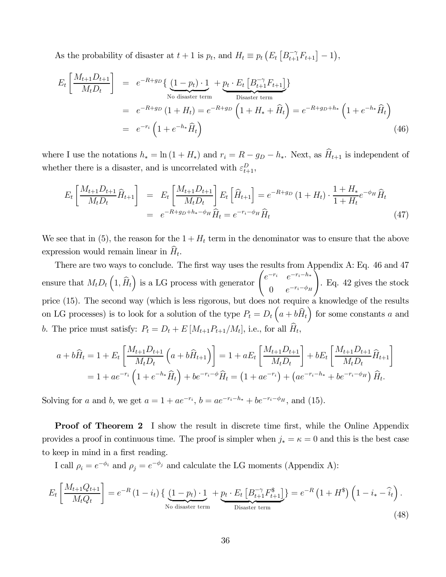As the probability of disaster at  $t + 1$  is  $p_t$ , and  $H_t \equiv p_t \left( E_t \left[ B_{t+1}^{-\gamma} F_{t+1} \right] - 1 \right)$ ,

$$
E_t \left[ \frac{M_{t+1} D_{t+1}}{M_t D_t} \right] = e^{-R+g_D} \left\{ \underbrace{(1-p_t) \cdot 1}_{\text{No disaster term}} + \underbrace{p_t \cdot E_t \left[ B_{t+1}^{-\gamma} F_{t+1} \right]}_{\text{Disaster term}} \right\}
$$
  
\n
$$
= e^{-R+g_D} \left( 1 + H_t \right) = e^{-R+g_D} \left( 1 + H_* + \widehat{H}_t \right) = e^{-R+g_D+h_*} \left( 1 + e^{-h_*} \widehat{H}_t \right)
$$
  
\n
$$
= e^{-r_i} \left( 1 + e^{-h_*} \widehat{H}_t \right)
$$
\n(46)

where I use the notations  $h_* = \ln(1 + H_*)$  and  $r_i = R - g_D - h_*$ . Next, as  $\widehat{H}_{t+1}$  is independent of whether there is a disaster, and is uncorrelated with  $\varepsilon_{t+1}^D$ ,

$$
E_t \left[ \frac{M_{t+1} D_{t+1}}{M_t D_t} \hat{H}_{t+1} \right] = E_t \left[ \frac{M_{t+1} D_{t+1}}{M_t D_t} \right] E_t \left[ \hat{H}_{t+1} \right] = e^{-R + g_D} \left( 1 + H_t \right) \cdot \frac{1 + H_*}{1 + H_t} e^{-\phi_H} \hat{H}_t
$$
\n
$$
= e^{-R + g_D + h_* - \phi_H} \hat{H}_t = e^{-r_i - \phi_H} \hat{H}_t
$$
\n(47)

We see that in (5), the reason for the  $1 + H_t$  term in the denominator was to ensure that the above expression would remain linear in  $\hat{H}_t$ .

There are two ways to conclude. The first way uses the results from Appendix A: Eq. 46 and 47 ensure that  $M_t D_t \left(1, \hat{H}_t\right)$  is a LG process with generator  $\begin{pmatrix} e^{-r_i} & e^{-r_i-h_*} \\ 0 & e^{-r_i-\phi_H} \end{pmatrix}$ 0  $e^{-r_i-\phi_H}$  $\bigwedge$ . Eq. 42 gives the stock price (15). The second way (which is less rigorous, but does not require a knowledge of the results on LG processes) is to look for a solution of the type  $P_t = D_t \left( a + b \hat{H}_t \right)$  for some constants a and b. The price must satisfy:  $P_t = D_t + E\left[M_{t+1}P_{t+1}/M_t\right]$ , i.e., for all  $\widehat{H}_t$ ,

$$
a + b\widehat{H}_t = 1 + E_t \left[ \frac{M_{t+1}D_{t+1}}{M_t D_t} \left( a + b\widehat{H}_{t+1} \right) \right] = 1 + aE_t \left[ \frac{M_{t+1}D_{t+1}}{M_t D_t} \right] + bE_t \left[ \frac{M_{t+1}D_{t+1}}{M_t D_t} \widehat{H}_{t+1} \right]
$$
  
= 1 + ae<sup>-r<sub>i</sub></sup>  $\left( 1 + e^{-h_*} \widehat{H}_t \right) + be^{-r_i - \phi} \widehat{H}_t = \left( 1 + ae^{-r_i} \right) + \left( ae^{-r_i - h_*} + be^{-r_i - \phi_H} \right) \widehat{H}_t.$ 

Solving for a and b, we get  $a = 1 + ae^{-r_i}$ ,  $b = ae^{-r_i - h_*} + be^{-r_i - \phi_H}$ , and (15).

**Proof of Theorem 2** I show the result in discrete time first, while the Online Appendix provides a proof in continuous time. The proof is simpler when  $j_* = \kappa = 0$  and this is the best case to keep in mind in a first reading.

I call  $\rho_i = e^{-\phi_i}$  and  $\rho_j = e^{-\phi_j}$  and calculate the LG moments (Appendix A):

$$
E_t\left[\frac{M_{t+1}Q_{t+1}}{M_tQ_t}\right] = e^{-R}\left(1-i_t\right)\left\{\underbrace{\left(1-p_t\right)\cdot 1}_{\text{No disaster term}} + \underbrace{p_t\cdot E_t\left[B_{t+1}^{-\gamma}F_{t+1}^{\$}\right]}_{\text{Disaster term}}\right\} = e^{-R}\left(1+H^{\$}\right)\left(1-i_*-\hat{i}_t\right).
$$
\n(48)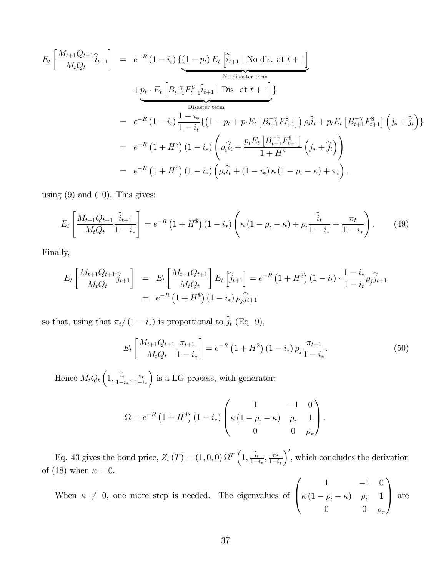$$
E_t\left[\frac{M_{t+1}Q_{t+1}}{M_tQ_t}\hat{i}_{t+1}\right] = e^{-R}(1-i_t)\left\{\underbrace{(1-p_t)E_t\left[\hat{i}_{t+1} \mid \text{No dis. at } t+1\right]}_{\text{No disaster term}}\right\}}_{\text{Disaster term}}
$$
\n
$$
+ \underbrace{p_t \cdot E_t\left[B_{t+1}^{-\gamma}F_{t+1}^{\$}\hat{i}_{t+1} \mid \text{Dis. at } t+1\right]}_{\text{Disaster term}}
$$
\n
$$
= e^{-R}(1-i_t)\frac{1-i_*}{1-i_t}\left\{\left(1-p_t + p_tE_t\left[B_{t+1}^{-\gamma}F_{t+1}^{\$}\right]\right)\rho_i\hat{i}_t + p_tE_t\left[B_{t+1}^{-\gamma}F_{t+1}^{\$}\right]\left(j_* + \hat{j}_t\right)\right\}
$$
\n
$$
= e^{-R}(1+H^{\$})\left(1-i_*\right)\left(\rho_i\hat{i}_t + \frac{p_tE_t\left[B_{t+1}^{-\gamma}F_{t+1}^{\$}\right]}{1+H^{\$}}\left(j_* + \hat{j}_t\right)\right)
$$
\n
$$
= e^{-R}(1+H^{\$})\left(1-i_*\right)\left(\rho_i\hat{i}_t + \left(1-i_*\right)\kappa\left(1-\rho_i - \kappa\right) + \pi_t\right).
$$

using  $(9)$  and  $(10)$ . This gives:

$$
E_t\left[\frac{M_{t+1}Q_{t+1}}{M_tQ_t}\frac{\hat{i}_{t+1}}{1-i_*}\right] = e^{-R}\left(1+H^{\$}\right)\left(1-i_*\right)\left(\kappa\left(1-\rho_i-\kappa\right)+\rho_i\frac{\hat{i}_t}{1-i_*}+\frac{\pi_t}{1-i_*}\right). \tag{49}
$$

Finally,

$$
E_t \left[ \frac{M_{t+1} Q_{t+1}}{M_t Q_t} \hat{j}_{t+1} \right] = E_t \left[ \frac{M_{t+1} Q_{t+1}}{M_t Q_t} \right] E_t \left[ \hat{j}_{t+1} \right] = e^{-R} \left( 1 + H^* \right) \left( 1 - i_t \right) \cdot \frac{1 - i_*}{1 - i_t} \rho_j \hat{j}_{t+1}
$$
  
= 
$$
e^{-R} \left( 1 + H^* \right) \left( 1 - i_* \right) \rho_j \hat{j}_{t+1}
$$

so that, using that  $\pi_t/(1 - i_*)$  is proportional to  $\hat{j}_t$  (Eq. 9),

$$
E_t\left[\frac{M_{t+1}Q_{t+1}}{M_tQ_t}\frac{\pi_{t+1}}{1-i_*}\right] = e^{-R}\left(1+H^{\$}\right)\left(1-i_*\right)\rho_j\frac{\pi_{t+1}}{1-i_*}.\tag{50}
$$

Hence  $M_t Q_t\left(1, \frac{\hat{i}_t}{1-i_*}, \frac{\pi_t}{1-i_*}\right)$ ) is a LG process, with generator:

$$
\Omega = e^{-R} \left( 1 + H^{\$} \right) \left( 1 - i_{*} \right) \begin{pmatrix} 1 & -1 & 0 \\ \kappa \left( 1 - \rho_{i} - \kappa \right) & \rho_{i} & 1 \\ 0 & 0 & \rho_{\pi} \end{pmatrix}.
$$

Eq. 43 gives the bond price,  $Z_t(T) = (1, 0, 0) \Omega^T \left(1, \frac{\hat{i}_t}{1 - i_*}, \frac{\pi_t}{1 - i_*}\right)$  $\int'$ , which concludes the derivation of (18) when  $\kappa = 0$ .

When  $\kappa \neq 0$ , one more step is needed. The eigenvalues of  $\sqrt{ }$  $\vert$  $1 \t -1 \t 0$  $\kappa (1 - \rho_i - \kappa)$   $\rho_i$  1 0 0  $\rho_{\pi}$  $\mathcal{L}$ ⎟⎠ are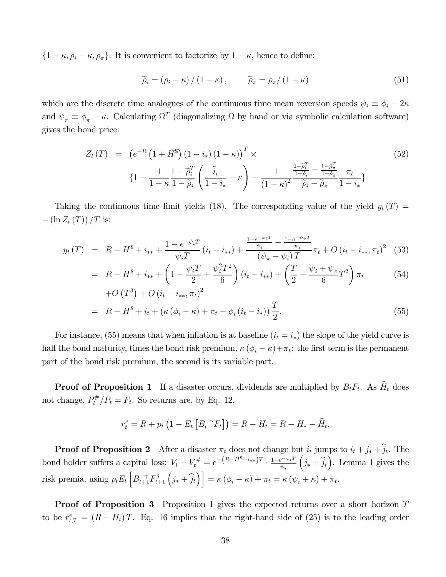${1 - \kappa, \rho_i + \kappa, \rho_{\pi}}$ . It is convenient to factorize by  $1 - \kappa$ , hence to define:

$$
\widetilde{\rho}_i = (\rho_i + \kappa) / (1 - \kappa), \qquad \widetilde{\rho}_\pi = \rho_\pi / (1 - \kappa)
$$
\n(51)

which are the discrete time analogues of the continuous time mean reversion speeds  $\psi_i \equiv \phi_i - 2\kappa$ and  $\psi_{\pi} \equiv \phi_{\pi} - \kappa$ . Calculating  $\Omega^{T}$  (diagonalizing  $\Omega$  by hand or via symbolic calculation software) gives the bond price:

$$
Z_{t}(T) = \left(e^{-R}\left(1+H^{*}\right)\left(1-i_{*}\right)\left(1-\kappa\right)\right)^{T} \times \left\{1-\frac{1}{1-\kappa}\frac{1-\tilde{\rho}_{i}^{T}}{1-\tilde{\rho}_{i}}\left(\frac{\hat{i}_{t}}{1-i_{*}}-\kappa\right)-\frac{1}{\left(1-\kappa\right)^{2}}\frac{\frac{1-\tilde{\rho}_{i}^{T}}{1-\tilde{\rho}_{i}}-\frac{1-\tilde{\rho}_{\pi}^{T}}{1-\tilde{\rho}_{\pi}}}{\tilde{\rho}_{i}-\tilde{\rho}_{\pi}}\frac{\pi_{t}}{1-i_{*}}\right\}
$$
\n
$$
(52)
$$

Taking the continuous time limit yields (18). The corresponding value of the yield  $y_t(T)$  =  $-\left(\ln Z_t(T)\right)/T$  is:

$$
y_{t}(T) = R - H^{\$} + i_{**} + \frac{1 - e^{-\psi_{i}T}}{\psi_{i}T} (i_{t} - i_{**}) + \frac{\frac{1 - e^{-\psi_{i}T}}{\psi_{i}} - \frac{1 - e^{-\psi_{\pi}T}}{\psi_{i}}}{(\psi_{\pi} - \psi_{i})T} \pi_{t} + O(i_{t} - i_{**}, \pi_{t})^{2} \tag{53}
$$

$$
= R - H^* + i_{**} + \left(1 - \frac{\psi_i T}{2} + \frac{\psi_i^2 T^2}{6}\right) (i_t - i_{**}) + \left(\frac{T}{2} - \frac{\psi_i + \psi_\pi}{6} T^2\right) \pi_t
$$
\n
$$
+ O(T^3) + O(i_t - i_{**}, \pi_t)^2
$$
\n(54)

$$
= R - H^* + i_t + (\kappa (\phi_i - \kappa) + \pi_t - \phi_i (i_t - i_*)) \frac{T}{2}.
$$
\n(55)

For instance, (55) means that when inflation is at baseline  $(i_t = i_*)$  the slope of the yield curve is half the bond maturity, times the bond risk premium,  $\kappa (\phi_i - \kappa) + \pi_t$ : the first term is the permanent part of the bond risk premium, the second is its variable part.

**Proof of Proposition 1** If a disaster occurs, dividends are multiplied by  $B_tF_t$ . As  $\widehat{H}_t$  does not change,  $P_t^{\#}/P_t = F_t$ . So returns are, by Eq. 12,

$$
r_t^e = R + p_t \left( 1 - E_t \left[ B_t^{-\gamma} F_t \right] \right) = R - H_t = R - H_* - \widehat{H}_t.
$$

**Proof of Proposition 2** After a disaster  $\pi_t$  does not change but  $i_t$  jumps to  $i_t + j_* + j_t$ . The bond holder suffers a capital loss:  $V_t - V_t^{\#} = e^{-\left(R - H^{\$} + i_{**}\right)T} \cdot \frac{1 - e^{-\psi_i T}}{\psi_i}$  $(j_* + \hat{j}_t)$ . Lemma 1 gives the risk premia, using  $p_t E_t \left[ B_{t+1}^{-\gamma} F_{t+1}^{\$} \left( j_* + \hat{j}_t \right) \right] = \kappa \left( \phi_i - \kappa \right) + \pi_t = \kappa \left( \psi_i + \kappa \right) + \pi_t.$ 

**Proof of Proposition 3** Proposition 1 gives the expected returns over a short horizon T to be  $r_{t,T}^e = (R - H_t)T$ . Eq. 16 implies that the right-hand side of (25) is to the leading order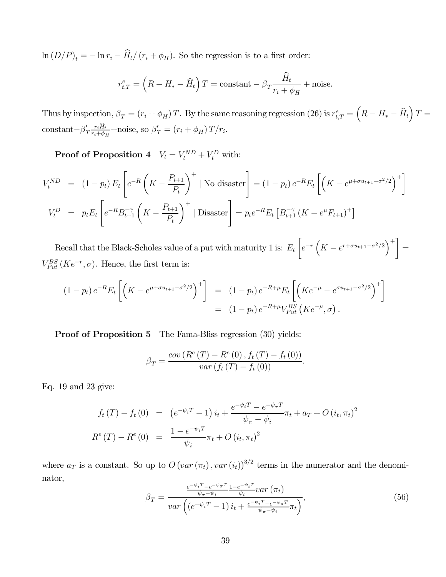$\ln (D/P)_t = -\ln r_i - \widehat{H}_t/(r_i + \phi_H)$ . So the regression is to a first order:

$$
r_{t,T}^{e} = \left(R - H_{*} - \widehat{H}_{t}\right)T = \text{constant} - \beta_{T}\frac{\widehat{H}_{t}}{r_{i} + \phi_{H}} + \text{noise}.
$$

Thus by inspection,  $\beta_T = (r_i + \phi_H)T$ . By the same reasoning regression (26) is  $r_{t,T}^e = \left(R - H_* - \widehat{H}_t\right)T =$ constant $-\beta'_T \frac{r_i H_t}{r_i + \phi_H} +$ noise, so  $\beta'_T = (r_i + \phi_H) T/r_i$ .

**Proof of Proposition 4**  $V_t = V_t^{ND} + V_t^D$  with:

$$
V_t^{ND} = (1 - p_t) E_t \left[ e^{-R} \left( K - \frac{P_{t+1}}{P_t} \right)^+ \mid \text{No disaster} \right] = (1 - p_t) e^{-R} E_t \left[ \left( K - e^{\mu + \sigma u_{t+1} - \sigma^2/2} \right)^+ \right]
$$
  

$$
V_t^D = p_t E_t \left[ e^{-R} B_{t+1}^{-\gamma} \left( K - \frac{P_{t+1}}{P_t} \right)^+ \mid \text{Disaster} \right] = p_t e^{-R} E_t \left[ B_{t+1}^{-\gamma} \left( K - e^{\mu} F_{t+1} \right)^+ \right]
$$

Recall that the Black-Scholes value of a put with maturity 1 is:  $E_t$ ∙  $e^{-r}\left(K - e^{r + \sigma u_{t+1} - \sigma^2/2}\right)^+$  =  $V_{Put}^{BS}(Ke^{-r},\sigma)$ . Hence, the first term is:

$$
(1 - p_t) e^{-R} E_t \left[ \left( K - e^{\mu + \sigma u_{t+1} - \sigma^2/2} \right)^+ \right] = (1 - p_t) e^{-R + \mu} E_t \left[ \left( K e^{-\mu} - e^{\sigma u_{t+1} - \sigma^2/2} \right)^+ \right]
$$
  
= 
$$
(1 - p_t) e^{-R + \mu} V_{Put}^{BS} \left( K e^{-\mu}, \sigma \right).
$$

**Proof of Proposition 5** The Fama-Bliss regression (30) yields:

$$
\beta_T = \frac{cov(R^e(T) - R^e(0), f_t(T) - f_t(0))}{var(f_t(T) - f_t(0))}.
$$

Eq. 19 and 23 give:

$$
f_t(T) - f_t(0) = (e^{-\psi_i T} - 1) i_t + \frac{e^{-\psi_i T} - e^{-\psi_\pi T}}{\psi_\pi - \psi_i} \pi_t + a_T + O(i_t, \pi_t)^2
$$
  

$$
R^e(T) - R^e(0) = \frac{1 - e^{-\psi_i T}}{\psi_i} \pi_t + O(i_t, \pi_t)^2
$$

where  $a_T$  is a constant. So up to  $O\left(var\left(\pi_t\right), var\left(i_t\right)\right)^{3/2}$  terms in the numerator and the denominator,

$$
\beta_T = \frac{\frac{e^{-\psi_i T} - e^{-\psi_\pi T}}{\psi_\pi - \psi_i} \frac{1 - e^{-\psi_i T}}{\psi_i} \text{var}\left(\pi_t\right)}{\text{var}\left(e^{-\psi_i T} - 1\right) i_t + \frac{e^{-\psi_i T} - e^{-\psi_\pi T}}{\psi_\pi - \psi_i} \pi_t\right)},\tag{56}
$$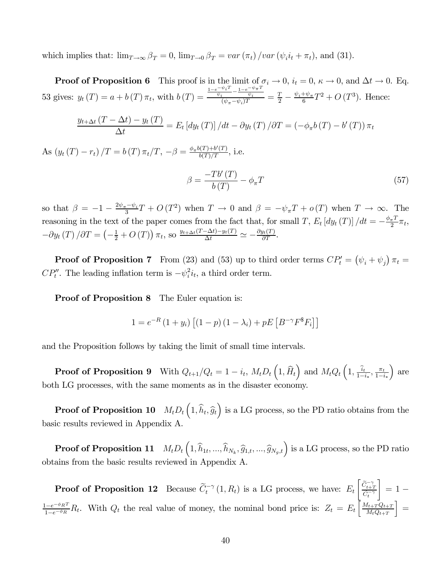which implies that:  $\lim_{T\to\infty} \beta_T = 0$ ,  $\lim_{T\to 0} \beta_T = \text{var}(\pi_t) / \text{var}(\psi_i i_t + \pi_t)$ , and (31).

**Proof of Proposition 6** This proof is in the limit of  $\sigma_i \to 0$ ,  $i_t = 0$ ,  $\kappa \to 0$ , and  $\Delta t \to 0$ . Eq. 53 gives:  $y_t(T) = a + b(T) \pi_t$ , with  $b(T) =$  $\frac{\frac{1-e^{-\psi_i T}-1-e^{-\psi_{\pi} T}}{\psi_i}}{(\psi_{\pi}-\psi_i)T} = \frac{T}{2} - \frac{\psi_i+\psi_{\pi}}{6}T^2 + O(T^3)$ . Hence:

$$
\frac{y_{t+\Delta t}(T-\Delta t)-y_t(T)}{\Delta t}=E_t\left[dy_t(T)\right]/dt-\partial y_t(T)/\partial T=(-\phi_\pi b(T)-b'(T))\,\pi_t
$$

As  $(y_t(T) - r_t) / T = b(T) \pi_t / T$ ,  $-\beta = \frac{\phi_\pi b(T) + b'(T)}{b(T)/T}$ , i.e.

$$
\beta = \frac{-Tb'(T)}{b(T)} - \phi_{\pi}T\tag{57}
$$

so that  $\beta = -1 - \frac{2\psi_{\pi} - \psi_i}{3}T + O(T^2)$  when  $T \to 0$  and  $\beta = -\psi_{\pi}T + o(T)$  when  $T \to \infty$ . The reasoning in the text of the paper comes from the fact that, for small T,  $E_t [dy_t(T)] / dt = -\frac{\phi_{\pi} T}{2} \pi_t$ ,  $-\partial y_t(T)/\partial T = \left(-\frac{1}{2} + O(T)\right)\pi_t$ , so  $\frac{y_{t+\Delta t}(T-\Delta t) - y_t(T)}{\Delta t} \simeq -\frac{\partial y_t(T)}{\partial T}$ .

**Proof of Proposition 7** From (23) and (53) up to third order terms  $CP'_t = (\psi_i + \psi_j) \pi_t =$  $CP''_t$ . The leading inflation term is  $-\psi_i^2 i_t$ , a third order term.

**Proof of Proposition 8** The Euler equation is:

$$
1 = e^{-R} (1 + y_i) [(1 - p) (1 - \lambda_i) + pE [B^{-\gamma} F^* F_i]]
$$

and the Proposition follows by taking the limit of small time intervals.

**Proof of Proposition 9** With  $Q_{t+1}/Q_t = 1 - i_t$ ,  $M_t D_t \left(1, \widehat{H}_t\right)$  and  $M_t Q_t \left(1, \frac{\widehat{i}_t}{1 - i_*}, \frac{\pi_t}{1 - i_*}\right)$ ´ are both LG processes, with the same moments as in the disaster economy.

**Proof of Proposition 10**  $M_t D_t\left(1, \hat{h}_t, \hat{g}_t\right)$  is a LG process, so the PD ratio obtains from the basic results reviewed in Appendix A.

Proof of Proposition 11  $\left(1,\widehat{h}_{1t},...,\widehat{h}_{N_k},\widehat{g}_{1,t},...,\widehat{g}_{N_g,t}\right)$  is a LG process, so the PD ratio obtains from the basic results reviewed in Appendix A.

**Proof of Proposition 12** Because  $\widetilde{C}_t^{-\gamma}(1, R_t)$  is a LG process, we have:  $E_t$  $\left\lceil \frac{\widetilde{C}_{t+T}^{-\gamma}}{\widetilde{C}_{t}^{-\gamma}} \right\rceil$ ¸  $= 1 \frac{1-e^{-\phi_R T}}{1-e^{-\phi_R}}R_t$ . With  $Q_t$  the real value of money, the nominal bond price is:  $Z_t = E_t \left[ \frac{M_{t+T} Q_{t+T}}{M_t Q_{t+T}} \right]$  $M_tQ_{t+T}$  $\vert =$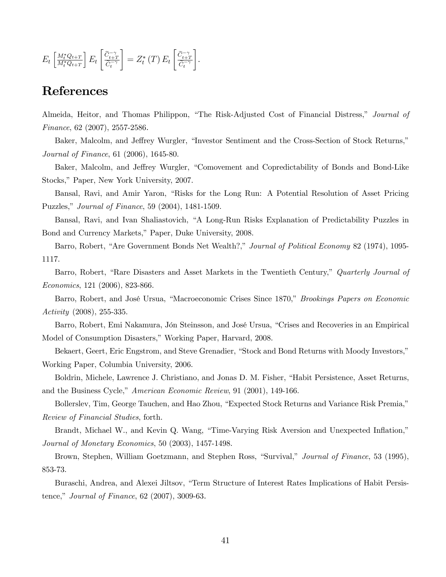$$
E_t\left[\tfrac{M_t^*Q_{t+T}}{M_t^*Q_{t+T}}\right]E_t\left[\tfrac{\widetilde{C}_{t+T}^{-\gamma}}{\widetilde{C}_t^{-\gamma}}\right] = Z_t^*\left(T\right)E_t\left[\tfrac{\widetilde{C}_{t+T}^{-\gamma}}{\widetilde{C}_t^{-\gamma}}\right].
$$

## References

Almeida, Heitor, and Thomas Philippon, "The Risk-Adjusted Cost of Financial Distress," Journal of Finance, 62 (2007), 2557-2586.

Baker, Malcolm, and Jeffrey Wurgler, "Investor Sentiment and the Cross-Section of Stock Returns," Journal of Finance, 61 (2006), 1645-80.

Baker, Malcolm, and Jeffrey Wurgler, "Comovement and Copredictability of Bonds and Bond-Like Stocks," Paper, New York University, 2007.

Bansal, Ravi, and Amir Yaron, "Risks for the Long Run: A Potential Resolution of Asset Pricing Puzzles," Journal of Finance, 59 (2004), 1481-1509.

Bansal, Ravi, and Ivan Shaliastovich, "A Long-Run Risks Explanation of Predictability Puzzles in Bond and Currency Markets," Paper, Duke University, 2008.

Barro, Robert, "Are Government Bonds Net Wealth?," Journal of Political Economy 82 (1974), 1095- 1117.

Barro, Robert, "Rare Disasters and Asset Markets in the Twentieth Century," Quarterly Journal of Economics, 121 (2006), 823-866.

Barro, Robert, and José Ursua, "Macroeconomic Crises Since 1870," Brookings Papers on Economic Activity (2008), 255-335.

Barro, Robert, Emi Nakamura, Jón Steinsson, and José Ursua, "Crises and Recoveries in an Empirical Model of Consumption Disasters," Working Paper, Harvard, 2008.

Bekaert, Geert, Eric Engstrom, and Steve Grenadier, "Stock and Bond Returns with Moody Investors," Working Paper, Columbia University, 2006.

Boldrin, Michele, Lawrence J. Christiano, and Jonas D. M. Fisher, "Habit Persistence, Asset Returns, and the Business Cycle," American Economic Review, 91 (2001), 149-166.

Bollerslev, Tim, George Tauchen, and Hao Zhou, "Expected Stock Returns and Variance Risk Premia," Review of Financial Studies, forth.

Brandt, Michael W., and Kevin Q. Wang, "Time-Varying Risk Aversion and Unexpected Inflation," Journal of Monetary Economics, 50 (2003), 1457-1498.

Brown, Stephen, William Goetzmann, and Stephen Ross, "Survival," Journal of Finance, 53 (1995), 853-73.

Buraschi, Andrea, and Alexei Jiltsov, "Term Structure of Interest Rates Implications of Habit Persistence," Journal of Finance, 62 (2007), 3009-63.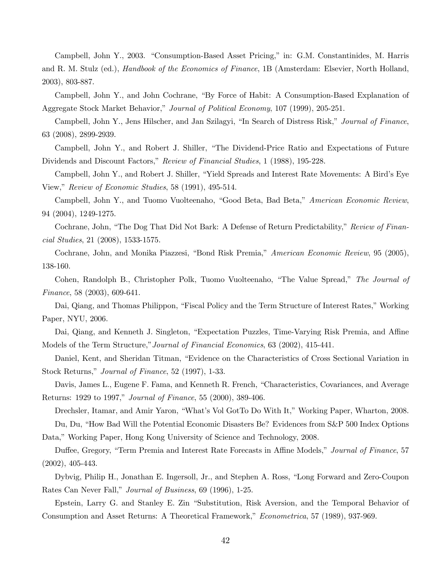Campbell, John Y., 2003. "Consumption-Based Asset Pricing," in: G.M. Constantinides, M. Harris and R. M. Stulz (ed.), Handbook of the Economics of Finance, 1B (Amsterdam: Elsevier, North Holland, 2003), 803-887.

Campbell, John Y., and John Cochrane, "By Force of Habit: A Consumption-Based Explanation of Aggregate Stock Market Behavior," Journal of Political Economy, 107 (1999), 205-251.

Campbell, John Y., Jens Hilscher, and Jan Szilagyi, "In Search of Distress Risk," Journal of Finance, 63 (2008), 2899-2939.

Campbell, John Y., and Robert J. Shiller, "The Dividend-Price Ratio and Expectations of Future Dividends and Discount Factors," Review of Financial Studies, 1 (1988), 195-228.

Campbell, John Y., and Robert J. Shiller, "Yield Spreads and Interest Rate Movements: A Bird's Eye View," Review of Economic Studies, 58 (1991), 495-514.

Campbell, John Y., and Tuomo Vuolteenaho, "Good Beta, Bad Beta," American Economic Review, 94 (2004), 1249-1275.

Cochrane, John, "The Dog That Did Not Bark: A Defense of Return Predictability," Review of Financial Studies, 21 (2008), 1533-1575.

Cochrane, John, and Monika Piazzesi, "Bond Risk Premia," American Economic Review, 95 (2005), 138-160.

Cohen, Randolph B., Christopher Polk, Tuomo Vuolteenaho, "The Value Spread," The Journal of Finance, 58 (2003), 609-641.

Dai, Qiang, and Thomas Philippon, "Fiscal Policy and the Term Structure of Interest Rates," Working Paper, NYU, 2006.

Dai, Qiang, and Kenneth J. Singleton, "Expectation Puzzles, Time-Varying Risk Premia, and Affine Models of the Term Structure,"Journal of Financial Economics, 63 (2002), 415-441.

Daniel, Kent, and Sheridan Titman, "Evidence on the Characteristics of Cross Sectional Variation in Stock Returns," Journal of Finance, 52 (1997), 1-33.

Davis, James L., Eugene F. Fama, and Kenneth R. French, "Characteristics, Covariances, and Average Returns: 1929 to 1997," Journal of Finance, 55 (2000), 389-406.

Drechsler, Itamar, and Amir Yaron, "What's Vol GotTo Do With It," Working Paper, Wharton, 2008. Du, Du, "How Bad Will the Potential Economic Disasters Be? Evidences from S&P 500 Index Options

Data," Working Paper, Hong Kong University of Science and Technology, 2008.

Duffee, Gregory, "Term Premia and Interest Rate Forecasts in Affine Models," Journal of Finance, 57 (2002), 405-443.

Dybvig, Philip H., Jonathan E. Ingersoll, Jr., and Stephen A. Ross, "Long Forward and Zero-Coupon Rates Can Never Fall," Journal of Business, 69 (1996), 1-25.

Epstein, Larry G. and Stanley E. Zin "Substitution, Risk Aversion, and the Temporal Behavior of Consumption and Asset Returns: A Theoretical Framework," Econometrica, 57 (1989), 937-969.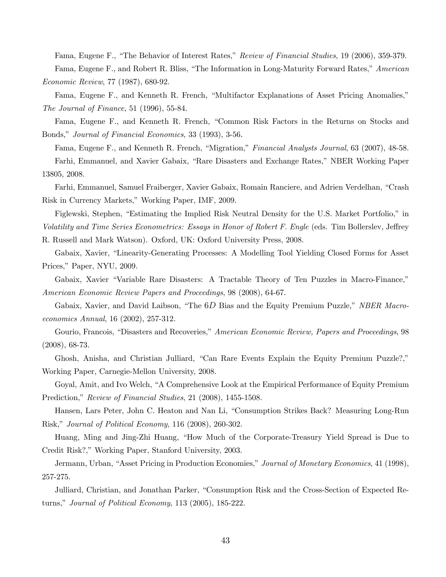Fama, Eugene F., "The Behavior of Interest Rates," Review of Financial Studies, 19 (2006), 359-379.

Fama, Eugene F., and Robert R. Bliss, "The Information in Long-Maturity Forward Rates," American Economic Review, 77 (1987), 680-92.

Fama, Eugene F., and Kenneth R. French, "Multifactor Explanations of Asset Pricing Anomalies," The Journal of Finance, 51 (1996), 55-84.

Fama, Eugene F., and Kenneth R. French, "Common Risk Factors in the Returns on Stocks and Bonds," Journal of Financial Economics, 33 (1993), 3-56.

Fama, Eugene F., and Kenneth R. French, "Migration," Financial Analysts Journal, 63 (2007), 48-58. Farhi, Emmanuel, and Xavier Gabaix, "Rare Disasters and Exchange Rates," NBER Working Paper 13805, 2008.

Farhi, Emmanuel, Samuel Fraiberger, Xavier Gabaix, Romain Ranciere, and Adrien Verdelhan, "Crash Risk in Currency Markets," Working Paper, IMF, 2009.

Figlewski, Stephen, "Estimating the Implied Risk Neutral Density for the U.S. Market Portfolio," in Volatility and Time Series Econometrics: Essays in Honor of Robert F. Engle (eds. Tim Bollerslev, Jeffrey

R. Russell and Mark Watson). Oxford, UK: Oxford University Press, 2008.

Gabaix, Xavier, "Linearity-Generating Processes: A Modelling Tool Yielding Closed Forms for Asset Prices," Paper, NYU, 2009.

Gabaix, Xavier "Variable Rare Disasters: A Tractable Theory of Ten Puzzles in Macro-Finance," American Economic Review Papers and Proceedings, 98 (2008), 64-67.

Gabaix, Xavier, and David Laibson, "The 6D Bias and the Equity Premium Puzzle," NBER Macroeconomics Annual, 16 (2002), 257-312.

Gourio, Francois, "Disasters and Recoveries," American Economic Review, Papers and Proceedings, 98 (2008), 68-73.

Ghosh, Anisha, and Christian Julliard, "Can Rare Events Explain the Equity Premium Puzzle?," Working Paper, Carnegie-Mellon University, 2008.

Goyal, Amit, and Ivo Welch, "A Comprehensive Look at the Empirical Performance of Equity Premium Prediction," Review of Financial Studies, 21 (2008), 1455-1508.

Hansen, Lars Peter, John C. Heaton and Nan Li, "Consumption Strikes Back? Measuring Long-Run Risk," Journal of Political Economy, 116 (2008), 260-302.

Huang, Ming and Jing-Zhi Huang, "How Much of the Corporate-Treasury Yield Spread is Due to Credit Risk?," Working Paper, Stanford University, 2003.

Jermann, Urban, "Asset Pricing in Production Economies," Journal of Monetary Economics, 41 (1998), 257-275.

Julliard, Christian, and Jonathan Parker, "Consumption Risk and the Cross-Section of Expected Returns," Journal of Political Economy, 113 (2005), 185-222.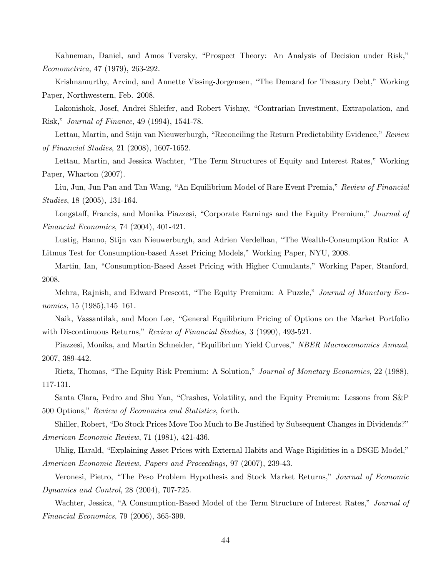Kahneman, Daniel, and Amos Tversky, "Prospect Theory: An Analysis of Decision under Risk," Econometrica, 47 (1979), 263-292.

Krishnamurthy, Arvind, and Annette Vissing-Jorgensen, "The Demand for Treasury Debt," Working Paper, Northwestern, Feb. 2008.

Lakonishok, Josef, Andrei Shleifer, and Robert Vishny, "Contrarian Investment, Extrapolation, and Risk," Journal of Finance, 49 (1994), 1541-78.

Lettau, Martin, and Stijn van Nieuwerburgh, "Reconciling the Return Predictability Evidence," Review of Financial Studies, 21 (2008), 1607-1652.

Lettau, Martin, and Jessica Wachter, "The Term Structures of Equity and Interest Rates," Working Paper, Wharton (2007).

Liu, Jun, Jun Pan and Tan Wang, "An Equilibrium Model of Rare Event Premia," Review of Financial Studies, 18 (2005), 131-164.

Longstaff, Francis, and Monika Piazzesi, "Corporate Earnings and the Equity Premium," Journal of Financial Economics, 74 (2004), 401-421.

Lustig, Hanno, Stijn van Nieuwerburgh, and Adrien Verdelhan, "The Wealth-Consumption Ratio: A Litmus Test for Consumption-based Asset Pricing Models," Working Paper, NYU, 2008.

Martin, Ian, "Consumption-Based Asset Pricing with Higher Cumulants," Working Paper, Stanford, 2008.

Mehra, Rajnish, and Edward Prescott, "The Equity Premium: A Puzzle," Journal of Monetary Economics, 15 (1985), 145–161.

Naik, Vassantilak, and Moon Lee, "General Equilibrium Pricing of Options on the Market Portfolio with Discontinuous Returns," Review of Financial Studies, 3 (1990), 493-521.

Piazzesi, Monika, and Martin Schneider, "Equilibrium Yield Curves," NBER Macroeconomics Annual, 2007, 389-442.

Rietz, Thomas, "The Equity Risk Premium: A Solution," Journal of Monetary Economics, 22 (1988), 117-131.

Santa Clara, Pedro and Shu Yan, "Crashes, Volatility, and the Equity Premium: Lessons from S&P 500 Options," Review of Economics and Statistics, forth.

Shiller, Robert, "Do Stock Prices Move Too Much to Be Justified by Subsequent Changes in Dividends?" American Economic Review, 71 (1981), 421-436.

Uhlig, Harald, "Explaining Asset Prices with External Habits and Wage Rigidities in a DSGE Model," American Economic Review, Papers and Proceedings, 97 (2007), 239-43.

Veronesi, Pietro, "The Peso Problem Hypothesis and Stock Market Returns," Journal of Economic Dynamics and Control, 28 (2004), 707-725.

Wachter, Jessica, "A Consumption-Based Model of the Term Structure of Interest Rates," Journal of Financial Economics, 79 (2006), 365-399.